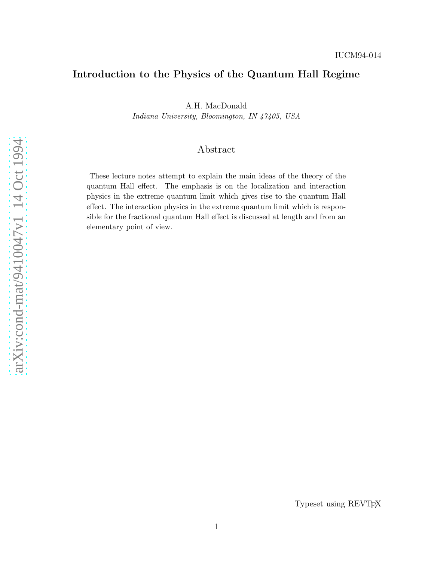# Introduction to the Physics of the Quantum Hall Regime

A.H. MacDonald

Indiana University, Bloomington, IN 47405, USA

# Abstract

These lecture notes attempt to explain the main ideas of the theory of the quantum Hall effect. The emphasis is on the localization and interaction physics in the extreme quantum limit which gives rise to the quantum Hall effect. The interaction physics in the extreme quantum limit which is responsible for the fractional quantum Hall effect is discussed at length and from an elementary point of view.

Typeset using REVTEX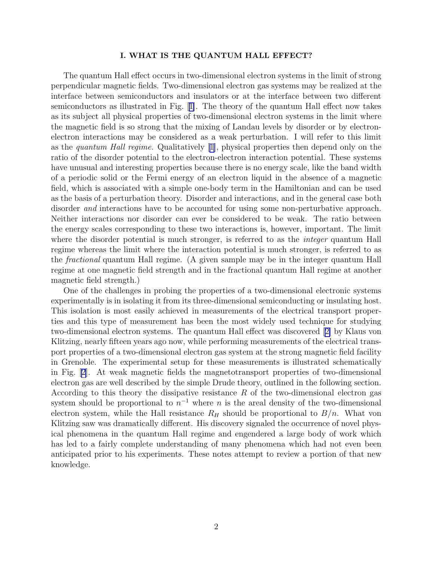## I. WHAT IS THE QUANTUM HALL EFFECT?

The quantum Hall effect occurs in two-dimensional electron systems in the limit of strong perpendicular magnetic fields. Two-dimensional electron gas systems may be realized at the interface between semiconductors and insulators or at the interface between two different semiconductors as illustrated in Fig.[[1\]](#page-48-0). The theory of the quantum Hall effect now takes as its subject all physical properties of two-dimensional electron systems in the limit where the magnetic field is so strong that the mixing of Landau levels by disorder or by electronelectron interactions may be considered as a weak perturbation. I will refer to this limit as the quantum Hall regime. Qualitatively [\[1](#page-44-0)], physical properties then depend only on the ratio of the disorder potential to the electron-electron interaction potential. These systems have unusual and interesting properties because there is no energy scale, like the band width of a periodic solid or the Fermi energy of an electron liquid in the absence of a magnetic field, which is associated with a simple one-body term in the Hamiltonian and can be used as the basis of a perturbation theory. Disorder and interactions, and in the general case both disorder *and* interactions have to be accounted for using some non-perturbative approach. Neither interactions nor disorder can ever be considered to be weak. The ratio between the energy scales corresponding to these two interactions is, however, important. The limit where the disorder potential is much stronger, is referred to as the *integer* quantum Hall regime whereas the limit where the interaction potential is much stronger, is referred to as the fractional quantum Hall regime. (A given sample may be in the integer quantum Hall regime at one magnetic field strength and in the fractional quantum Hall regime at another magnetic field strength.)

One of the challenges in probing the properties of a two-dimensional electronic systems experimentally is in isolating it from its three-dimensional semiconducting or insulating host. This isolation is most easily achieved in measurements of the electrical transport properties and this type of measurement has been the most widely used technique for studying two-dimensional electron systems. The quantum Hall effect was discovered[[2\]](#page-44-0) by Klaus von Klitzing, nearly fifteen years ago now, while performing measurements of the electrical transport properties of a two-dimensional electron gas system at the strong magnetic field facility in Grenoble. The experimental setup for these measurements is illustrated schematically in Fig. [\[2\]](#page-48-0). At weak magnetic fields the magnetotransport properties of two-dimensional electron gas are well described by the simple Drude theory, outlined in the following section. According to this theory the dissipative resistance  $R$  of the two-dimensional electron gas system should be proportional to  $n^{-1}$  where n is the areal density of the two-dimensional electron system, while the Hall resistance  $R_H$  should be proportional to  $B/n$ . What von Klitzing saw was dramatically different. His discovery signaled the occurrence of novel physical phenomena in the quantum Hall regime and engendered a large body of work which has led to a fairly complete understanding of many phenomena which had not even been anticipated prior to his experiments. These notes attempt to review a portion of that new knowledge.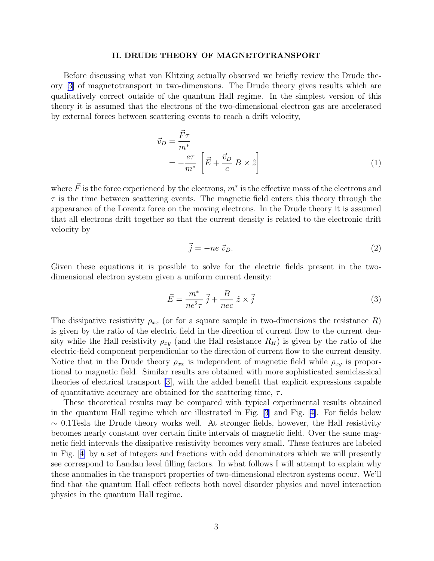## II. DRUDE THEORY OF MAGNETOTRANSPORT

Before discussing what von Klitzing actually observed we briefly review the Drude theory [\[3](#page-44-0)] of magnetotransport in two-dimensions. The Drude theory gives results which are qualitatively correct outside of the quantum Hall regime. In the simplest version of this theory it is assumed that the electrons of the two-dimensional electron gas are accelerated by external forces between scattering events to reach a drift velocity,

$$
\vec{v}_D = \frac{\vec{F}\tau}{m^*} \n= -\frac{e\tau}{m^*} \left[ \vec{E} + \frac{\vec{v}_D}{c} B \times \hat{z} \right]
$$
\n(1)

where  $\vec{F}$  is the force experienced by the electrons,  $m^*$  is the effective mass of the electrons and  $\tau$  is the time between scattering events. The magnetic field enters this theory through the appearance of the Lorentz force on the moving electrons. In the Drude theory it is assumed that all electrons drift together so that the current density is related to the electronic drift velocity by

$$
\vec{j} = -ne \ \vec{v}_D. \tag{2}
$$

Given these equations it is possible to solve for the electric fields present in the twodimensional electron system given a uniform current density:

$$
\vec{E} = \frac{m^*}{ne^2 \tau} \vec{j} + \frac{B}{nec} \hat{z} \times \vec{j}
$$
 (3)

The dissipative resistivity  $\rho_{xx}$  (or for a square sample in two-dimensions the resistance R) is given by the ratio of the electric field in the direction of current flow to the current density while the Hall resistivity  $\rho_{xy}$  (and the Hall resistance  $R_H$ ) is given by the ratio of the electric-field component perpendicular to the direction of current flow to the current density. Notice that in the Drude theory  $\rho_{xx}$  is independent of magnetic field while  $\rho_{xy}$  is proportional to magnetic field. Similar results are obtained with more sophisticated semiclassical theories of electrical transport [\[3](#page-44-0)], with the added benefit that explicit expressions capable of quantitative accuracy are obtained for the scattering time,  $\tau$ .

These theoretical results may be compared with typical experimental results obtained in the quantum Hall regime which are illustrated in Fig. [\[3](#page-48-0)] and Fig.[[4\]](#page-48-0). For fields below  $\sim$  0.1Tesla the Drude theory works well. At stronger fields, however, the Hall resistivity becomes nearly constant over certain finite intervals of magnetic field. Over the same magnetic field intervals the dissipative resistivity becomes very small. These features are labeled in Fig.[[4\]](#page-48-0) by a set of integers and fractions with odd denominators which we will presently see correspond to Landau level filling factors. In what follows I will attempt to explain why these anomalies in the transport properties of two-dimensional electron systems occur. We'll find that the quantum Hall effect reflects both novel disorder physics and novel interaction physics in the quantum Hall regime.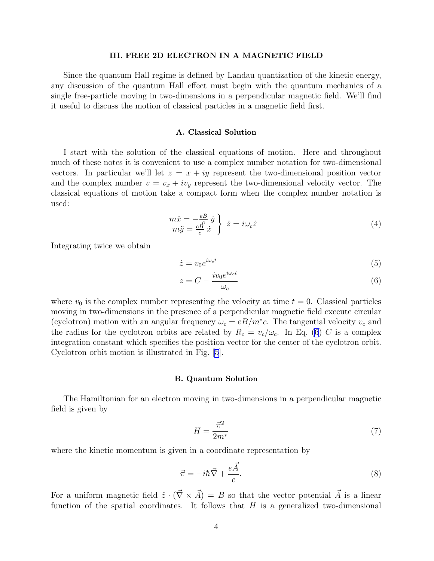## III. FREE 2D ELECTRON IN A MAGNETIC FIELD

Since the quantum Hall regime is defined by Landau quantization of the kinetic energy, any discussion of the quantum Hall effect must begin with the quantum mechanics of a single free-particle moving in two-dimensions in a perpendicular magnetic field. We'll find it useful to discuss the motion of classical particles in a magnetic field first.

## A. Classical Solution

I start with the solution of the classical equations of motion. Here and throughout much of these notes it is convenient to use a complex number notation for two-dimensional vectors. In particular we'll let  $z = x + iy$  represent the two-dimensional position vector and the complex number  $v = v_x + iv_y$  represent the two-dimensional velocity vector. The classical equations of motion take a compact form when the complex number notation is used:

$$
\begin{array}{c}\nm\ddot{x} = -\frac{e}{c}\dot{y} \\
m\ddot{y} = \frac{e}{c}\dot{x}\n\end{array}\n\bigg\}\n\ddot{z} = i\omega_c\dot{z}\n\tag{4}
$$

Integrating twice we obtain

$$
\dot{z} = v_0 e^{i\omega_c t} \tag{5}
$$

$$
z = C - \frac{i v_0 e^{i\omega_c t}}{\omega_c} \tag{6}
$$

where  $v_0$  is the complex number representing the velocity at time  $t = 0$ . Classical particles moving in two-dimensions in the presence of a perpendicular magnetic field execute circular (cyclotron) motion with an angular frequency  $\omega_c = eB/m^*c$ . The tangential velocity  $v_c$  and the radius for the cyclotron orbits are related by  $R_c = v_c/\omega_c$ . In Eq. (6) C is a complex integration constant which specifies the position vector for the center of the cyclotron orbit. Cyclotron orbit motion is illustrated in Fig. [\[5](#page-48-0)].

#### B. Quantum Solution

The Hamiltonian for an electron moving in two-dimensions in a perpendicular magnetic field is given by

$$
H = \frac{\vec{\pi}^2}{2m^*} \tag{7}
$$

where the kinetic momentum is given in a coordinate representation by

$$
\vec{\pi} = -i\hbar \vec{\nabla} + \frac{e\vec{A}}{c}.
$$
 (8)

For a uniform magnetic field  $\hat{z} \cdot (\vec{\nabla} \times \vec{A}) = B$  so that the vector potential  $\vec{A}$  is a linear function of the spatial coordinates. It follows that  $H$  is a generalized two-dimensional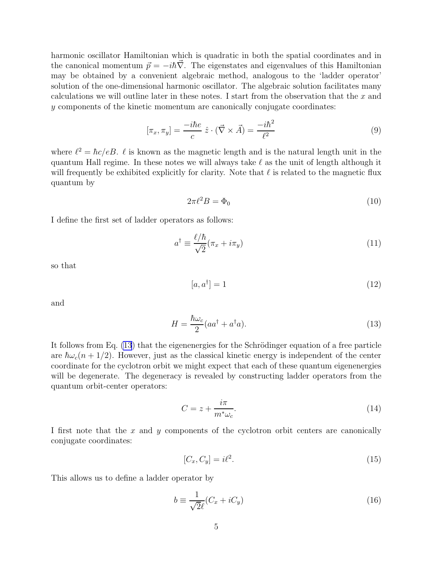harmonic oscillator Hamiltonian which is quadratic in both the spatial coordinates and in the canonical momentum  $\vec{p} = -i\hbar\vec{\nabla}$ . The eigenstates and eigenvalues of this Hamiltonian may be obtained by a convenient algebraic method, analogous to the 'ladder operator' solution of the one-dimensional harmonic oscillator. The algebraic solution facilitates many calculations we will outline later in these notes. I start from the observation that the  $x$  and y components of the kinetic momentum are canonically conjugate coordinates:

$$
[\pi_x, \pi_y] = \frac{-i\hbar e}{c} \hat{z} \cdot (\vec{\nabla} \times \vec{A}) = \frac{-i\hbar^2}{\ell^2}
$$
 (9)

where  $\ell^2 = \hbar c/eB$ .  $\ell$  is known as the magnetic length and is the natural length unit in the quantum Hall regime. In these notes we will always take  $\ell$  as the unit of length although it will frequently be exhibited explicitly for clarity. Note that  $\ell$  is related to the magnetic flux quantum by

$$
2\pi \ell^2 B = \Phi_0 \tag{10}
$$

I define the first set of ladder operators as follows:

$$
a^{\dagger} \equiv \frac{\ell/\hbar}{\sqrt{2}} (\pi_x + i\pi_y) \tag{11}
$$

so that

$$
[a, a^{\dagger}] = 1 \tag{12}
$$

and

$$
H = \frac{\hbar\omega_c}{2}(aa^\dagger + a^\dagger a). \tag{13}
$$

It follows from Eq.  $(13)$  that the eigenenergies for the Schrödinger equation of a free particle are  $\hbar\omega_c(n+1/2)$ . However, just as the classical kinetic energy is independent of the center coordinate for the cyclotron orbit we might expect that each of these quantum eigenenergies will be degenerate. The degeneracy is revealed by constructing ladder operators from the quantum orbit-center operators:

$$
C = z + \frac{i\pi}{m^*\omega_c}.\tag{14}
$$

I first note that the  $x$  and  $y$  components of the cyclotron orbit centers are canonically conjugate coordinates:

$$
[C_x, C_y] = i\ell^2. \tag{15}
$$

This allows us to define a ladder operator by

$$
b \equiv \frac{1}{\sqrt{2}\ell}(C_x + iC_y) \tag{16}
$$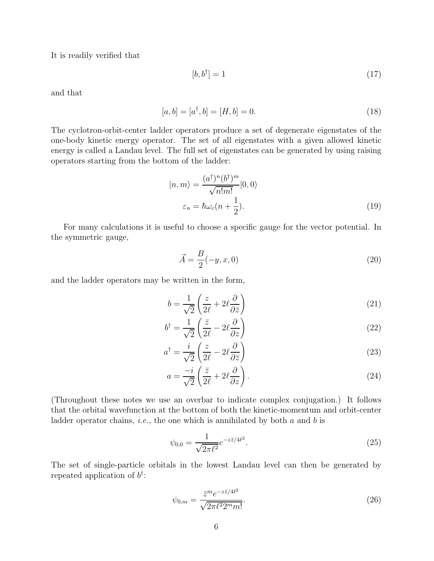<span id="page-5-0"></span>It is readily verified that

$$
[b, b^{\dagger}] = 1 \tag{17}
$$

and that

$$
[a, b] = [a\dagger, b] = [H, b] = 0.
$$
\n(18)

The cyclotron-orbit-center ladder operators produce a set of degenerate eigenstates of the one-body kinetic energy operator. The set of all eigenstates with a given allowed kinetic energy is called a Landau level. The full set of eigenstates can be generated by using raising operators starting from the bottom of the ladder:

$$
|n,m\rangle = \frac{(a^{\dagger})^n (b^{\dagger})^m}{\sqrt{n!m!}} |0,0\rangle
$$
  

$$
\varepsilon_n = \hbar \omega_c (n + \frac{1}{2}).
$$
 (19)

For many calculations it is useful to choose a specific gauge for the vector potential. In the symmetric gauge,

$$
\vec{A} = \frac{B}{2}(-y, x, 0)
$$
\n(20)

and the ladder operators may be written in the form,

$$
b = \frac{1}{\sqrt{2}} \left( \frac{z}{2\ell} + 2\ell \frac{\partial}{\partial \bar{z}} \right)
$$
 (21)

$$
b^{\dagger} = \frac{1}{\sqrt{2}} \left( \frac{\bar{z}}{2\ell} - 2\ell \frac{\partial}{\partial z} \right) \tag{22}
$$

$$
a^{\dagger} = \frac{i}{\sqrt{2}} \left( \frac{z}{2\ell} - 2\ell \frac{\partial}{\partial \bar{z}} \right)
$$
 (23)

$$
a = \frac{-i}{\sqrt{2}} \left( \frac{\bar{z}}{2\ell} + 2\ell \frac{\partial}{\partial z} \right).
$$
 (24)

(Throughout these notes we use an overbar to indicate complex conjugation.) It follows that the orbital wavefunction at the bottom of both the kinetic-momentum and orbit-center ladder operator chains, *i.e.*, the one which is annihilated by both  $a$  and  $b$  is

$$
\psi_{0,0} = \frac{1}{\sqrt{2\pi\ell^2}} e^{-z\bar{z}/4\ell^2}.
$$
\n(25)

The set of single-particle orbitals in the lowest Landau level can then be generated by repeated application of  $b^{\dagger}$ :

$$
\psi_{0,m} = \frac{\bar{z}^m e^{-z\bar{z}/4\ell^2}}{\sqrt{2\pi\ell^2 2^m m!}}.
$$
\n(26)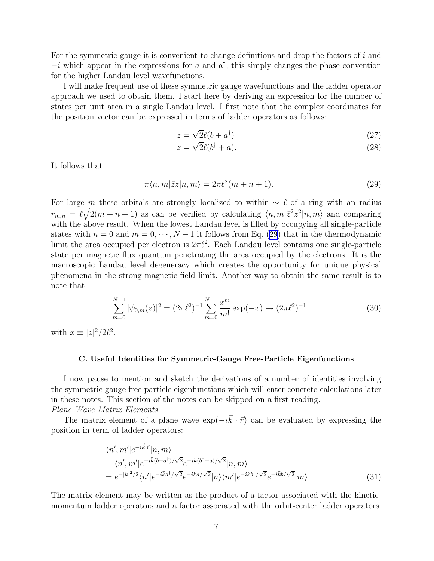<span id="page-6-0"></span>For the symmetric gauge it is convenient to change definitions and drop the factors of i and  $-i$  which appear in the expressions for a and  $a^{\dagger}$ ; this simply changes the phase convention for the higher Landau level wavefunctions.

I will make frequent use of these symmetric gauge wavefunctions and the ladder operator approach we used to obtain them. I start here by deriving an expression for the number of states per unit area in a single Landau level. I first note that the complex coordinates for the position vector can be expressed in terms of ladder operators as follows:

$$
z = \sqrt{2}\ell(b + a^{\dagger})\tag{27}
$$

$$
\bar{z} = \sqrt{2}\ell(b^\dagger + a). \tag{28}
$$

It follows that

$$
\pi \langle n, m | \bar{z} z | n, m \rangle = 2\pi \ell^2 (m + n + 1). \tag{29}
$$

For large m these orbitals are strongly localized to within  $\sim \ell$  of a ring with an radius  $r_{m,n} = \ell \sqrt{2(m+n+1)}$  as can be verified by calculating  $\langle n,m|\bar{z}^2z^2|n,m\rangle$  and comparing with the above result. When the lowest Landau level is filled by occupying all single-particle states with  $n = 0$  and  $m = 0, \dots, N-1$  it follows from Eq. (29) that in the thermodynamic limit the area occupied per electron is  $2\pi l^2$ . Each Landau level contains one single-particle state per magnetic flux quantum penetrating the area occupied by the electrons. It is the macroscopic Landau level degeneracy which creates the opportunity for unique physical phenomena in the strong magnetic field limit. Another way to obtain the same result is to note that

$$
\sum_{m=0}^{N-1} |\psi_{0,m}(z)|^2 = (2\pi \ell^2)^{-1} \sum_{m=0}^{N-1} \frac{x^m}{m!} \exp(-x) \to (2\pi \ell^2)^{-1}
$$
(30)

with  $x \equiv |z|^2/2\ell^2$ .

## C. Useful Identities for Symmetric-Gauge Free-Particle Eigenfunctions

I now pause to mention and sketch the derivations of a number of identities involving the symmetric gauge free-particle eigenfunctions which will enter concrete calculations later in these notes. This section of the notes can be skipped on a first reading. Plane Wave Matrix Elements

The matrix element of a plane wave  $\exp(-i\vec{k}\cdot\vec{r})$  can be evaluated by expressing the position in term of ladder operators:

$$
\langle n', m'|e^{-i\vec{k}\cdot\vec{r}}|n, m\rangle
$$
  
=  $\langle n', m'|e^{-i\vec{k}(b+a^{\dagger})/\sqrt{2}}e^{-ik(b^{\dagger}+a)/\sqrt{2}}|n, m\rangle$   
=  $e^{-|k|^2/2}\langle n'|e^{-i\vec{k}a^{\dagger}/\sqrt{2}}e^{-ika/\sqrt{2}}|n\rangle\langle m'|e^{-ikb^{\dagger}/\sqrt{2}}e^{-i\vec{k}b/\sqrt{2}}|m\rangle$  (31)

The matrix element may be written as the product of a factor associated with the kineticmomentum ladder operators and a factor associated with the orbit-center ladder operators.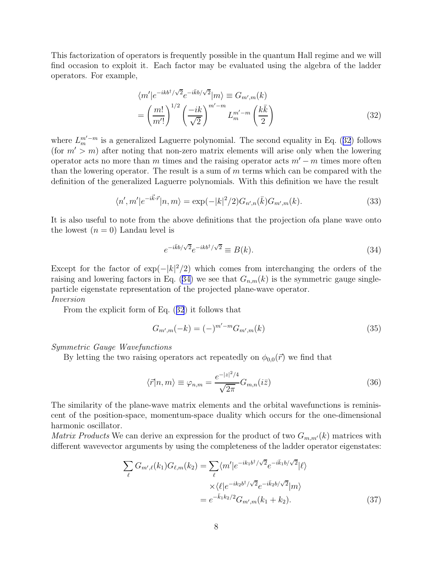<span id="page-7-0"></span>This factorization of operators is frequently possible in the quantum Hall regime and we will find occasion to exploit it. Each factor may be evaluated using the algebra of the ladder operators. For example,

$$
\langle m'|e^{-ikb^{\dagger}/\sqrt{2}}e^{-i\bar{k}b/\sqrt{2}}|m\rangle \equiv G_{m',m}(k)
$$

$$
= \left(\frac{m!}{m'!}\right)^{1/2} \left(\frac{-ik}{\sqrt{2}}\right)^{m'-m} L_m^{m'-m} \left(\frac{k\bar{k}}{2}\right)
$$
(32)

where  $L_m^{m'-m}$  is a generalized Laguerre polynomial. The second equality in Eq. (32) follows (for  $m' > m$ ) after noting that non-zero matrix elements will arise only when the lowering operator acts no more than m times and the raising operator acts  $m'-m$  times more often than the lowering operator. The result is a sum of  $m$  terms which can be compared with the definition of the generalized Laguerre polynomials. With this definition we have the result

$$
\langle n', m'|e^{-i\vec{k}\cdot\vec{r}}|n, m\rangle = \exp(-|k|^2/2)G_{n',n}(\bar{k})G_{m',m}(k). \tag{33}
$$

It is also useful to note from the above definitions that the projection ofa plane wave onto the lowest  $(n = 0)$  Landau level is

$$
e^{-i\bar{k}b/\sqrt{2}}e^{-ikb^{\dagger}/\sqrt{2}} \equiv B(k). \tag{34}
$$

Except for the factor of  $\exp(-|k|^2/2)$  which comes from interchanging the orders of the raising and lowering factors in Eq. (34) we see that  $G_{n,m}(k)$  is the symmetric gauge singleparticle eigenstate representation of the projected plane-wave operator. Inversion

From the explicit form of Eq. (32) it follows that

$$
G_{m',m}(-k) = (-)^{m'-m} G_{m',m}(k)
$$
\n(35)

## Symmetric Gauge Wavefunctions

By letting the two raising operators act repeatedly on  $\phi_{0,0}(\vec{r})$  we find that

$$
\langle \vec{r} | n, m \rangle \equiv \varphi_{n,m} = \frac{e^{-|z|^2/4}}{\sqrt{2\pi}} G_{m,n}(i\bar{z})
$$
\n(36)

The similarity of the plane-wave matrix elements and the orbital wavefunctions is reminiscent of the position-space, momentum-space duality which occurs for the one-dimensional harmonic oscillator.

*Matrix Products* We can derive an expression for the product of two  $G_{m,m'}(k)$  matrices with different wavevector arguments by using the completeness of the ladder operator eigenstates:

$$
\sum_{\ell} G_{m',\ell}(k_1) G_{\ell,m}(k_2) = \sum_{\ell} \langle m' | e^{-ik_1 b^{\dagger}/\sqrt{2}} e^{-i\bar{k}_1 b/\sqrt{2}} | \ell \rangle
$$

$$
\times \langle \ell | e^{-ik_2 b^{\dagger}/\sqrt{2}} e^{-i\bar{k}_2 b/\sqrt{2}} | m \rangle
$$

$$
= e^{-\bar{k}_1 k_2/2} G_{m',m}(k_1 + k_2).
$$
(37)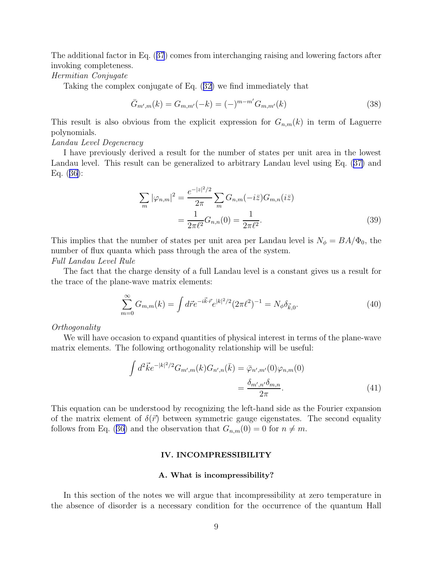<span id="page-8-0"></span>The additional factor in Eq. ([37](#page-7-0)) comes from interchanging raising and lowering factors after invoking completeness.

## Hermitian Conjugate

Taking the complex conjugate of Eq. ([32\)](#page-7-0) we find immediately that

$$
\bar{G}_{m',m}(k) = G_{m,m'}(-k) = (-)^{m-m'} G_{m,m'}(k)
$$
\n(38)

This result is also obvious from the explicit expression for  $G_{n,m}(k)$  in term of Laguerre polynomials.

## Landau Level Degeneracy

I have previously derived a result for the number of states per unit area in the lowest Landau level. This result can be generalized to arbitrary Landau level using Eq. ([37\)](#page-7-0) and Eq. ([36\)](#page-7-0):

$$
\sum_{m} |\varphi_{n,m}|^2 = \frac{e^{-|z|^2/2}}{2\pi} \sum_{m} G_{n,m}(-i\bar{z}) G_{m,n}(i\bar{z})
$$

$$
= \frac{1}{2\pi\ell^2} G_{n,n}(0) = \frac{1}{2\pi\ell^2}.
$$
(39)

This implies that the number of states per unit area per Landau level is  $N_{\phi} = BA/\Phi_0$ , the number of flux quanta which pass through the area of the system.

Full Landau Level Rule

The fact that the charge density of a full Landau level is a constant gives us a result for the trace of the plane-wave matrix elements:

$$
\sum_{m=0}^{\infty} G_{m,m}(k) = \int d\vec{r} e^{-i\vec{k}\cdot\vec{r}} e^{|k|^2/2} (2\pi \ell^2)^{-1} = N_{\phi} \delta_{\vec{k},0}.
$$
 (40)

## Orthogonality

We will have occasion to expand quantities of physical interest in terms of the plane-wave matrix elements. The following orthogonality relationship will be useful:

$$
\int d^2 \vec{k} e^{-|k|^2/2} G_{m',m}(k) G_{n',n}(\bar{k}) = \bar{\varphi}_{n',m'}(0) \varphi_{n,m}(0)
$$

$$
= \frac{\delta_{m',n'} \delta_{m,n}}{2\pi}.
$$
(41)

This equation can be understood by recognizing the left-hand side as the Fourier expansion of the matrix element of  $\delta(\vec{r})$  between symmetric gauge eigenstates. The second equality follows from Eq. ([36\)](#page-7-0) and the observation that  $G_{n,m}(0) = 0$  for  $n \neq m$ .

## IV. INCOMPRESSIBILITY

## A. What is incompressibility?

In this section of the notes we will argue that incompressibility at zero temperature in the absence of disorder is a necessary condition for the occurrence of the quantum Hall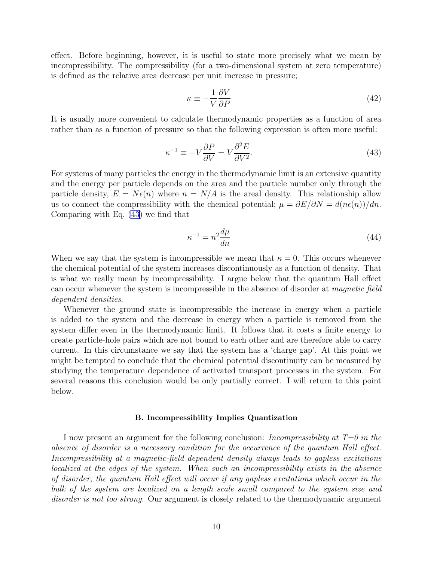<span id="page-9-0"></span>effect. Before beginning, however, it is useful to state more precisely what we mean by incompressibility. The compressibility (for a two-dimensional system at zero temperature) is defined as the relative area decrease per unit increase in pressure;

$$
\kappa \equiv -\frac{1}{V} \frac{\partial V}{\partial P} \tag{42}
$$

It is usually more convenient to calculate thermodynamic properties as a function of area rather than as a function of pressure so that the following expression is often more useful:

$$
\kappa^{-1} \equiv -V \frac{\partial P}{\partial V} = V \frac{\partial^2 E}{\partial V^2}.
$$
\n(43)

For systems of many particles the energy in the thermodynamic limit is an extensive quantity and the energy per particle depends on the area and the particle number only through the particle density,  $E = N\epsilon(n)$  where  $n = N/A$  is the areal density. This relationship allow us to connect the compressibility with the chemical potential;  $\mu = \partial E/\partial N = d(n\epsilon(n))/dn$ . Comparing with Eq. (43) we find that

$$
\kappa^{-1} = n^2 \frac{d\mu}{dn} \tag{44}
$$

When we say that the system is incompressible we mean that  $\kappa = 0$ . This occurs whenever the chemical potential of the system increases discontinuously as a function of density. That is what we really mean by incompressibility. I argue below that the quantum Hall effect can occur whenever the system is incompressible in the absence of disorder at magnetic field dependent densities.

Whenever the ground state is incompressible the increase in energy when a particle is added to the system and the decrease in energy when a particle is removed from the system differ even in the thermodynamic limit. It follows that it costs a finite energy to create particle-hole pairs which are not bound to each other and are therefore able to carry current. In this circumstance we say that the system has a 'charge gap'. At this point we might be tempted to conclude that the chemical potential discontinuity can be measured by studying the temperature dependence of activated transport processes in the system. For several reasons this conclusion would be only partially correct. I will return to this point below.

#### B. Incompressibility Implies Quantization

I now present an argument for the following conclusion: *Incompressibility at*  $T=0$  in the absence of disorder is a necessary condition for the occurrence of the quantum Hall effect. Incompressibility at a magnetic-field dependent density always leads to gapless excitations localized at the edges of the system. When such an incompressibility exists in the absence of disorder, the quantum Hall effect will occur if any gapless excitations which occur in the bulk of the system are localized on a length scale small compared to the system size and disorder is not too strong. Our argument is closely related to the thermodynamic argument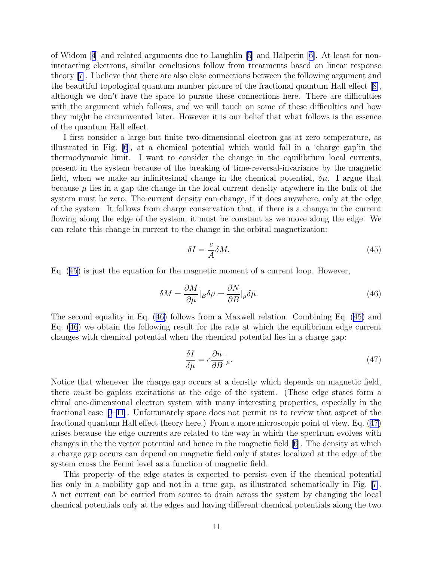<span id="page-10-0"></span>of Widom[[4](#page-44-0)] and related arguments due to Laughlin [\[5](#page-44-0)] and Halperin [\[6\]](#page-44-0). At least for noninteracting electrons, similar conclusions follow from treatments based on linear response theory [\[7\]](#page-44-0). I believe that there are also close connections between the following argument and the beautiful topological quantum number picture of the fractional quantum Hall effect[[8\]](#page-44-0), although we don't have the space to pursue these connections here. There are difficulties with the argument which follows, and we will touch on some of these difficulties and how they might be circumvented later. However it is our belief that what follows is the essence of the quantum Hall effect.

I first consider a large but finite two-dimensional electron gas at zero temperature, as illustrated in Fig.[[6](#page-48-0)], at a chemical potential which would fall in a 'charge gap'in the thermodynamic limit. I want to consider the change in the equilibrium local currents, present in the system because of the breaking of time-reversal-invariance by the magnetic field, when we make an infinitesimal change in the chemical potential,  $\delta \mu$ . I argue that because  $\mu$  lies in a gap the change in the local current density anywhere in the bulk of the system must be zero. The current density can change, if it does anywhere, only at the edge of the system. It follows from charge conservation that, if there is a change in the current flowing along the edge of the system, it must be constant as we move along the edge. We can relate this change in current to the change in the orbital magnetization:

$$
\delta I = -\frac{c}{A} \delta M. \tag{45}
$$

Eq. (45) is just the equation for the magnetic moment of a current loop. However,

$$
\delta M = \frac{\partial M}{\partial \mu}|_B \delta \mu = \frac{\partial N}{\partial B}|_\mu \delta \mu.
$$
\n(46)

The second equality in Eq. (46) follows from a Maxwell relation. Combining Eq. (45) and Eq. (46) we obtain the following result for the rate at which the equilibrium edge current changes with chemical potential when the chemical potential lies in a charge gap:

$$
\frac{\delta I}{\delta \mu} = c \frac{\partial n}{\partial B} |_{\mu}.\tag{47}
$$

Notice that whenever the charge gap occurs at a density which depends on magnetic field, there must be gapless excitations at the edge of the system. (These edge states form a chiral one-dimensional electron system with many interesting properties, especially in the fractional case[[9–11](#page-44-0)]. Unfortunately space does not permit us to review that aspect of the fractional quantum Hall effect theory here.) From a more microscopic point of view, Eq. (47) arises because the edge currents are related to the way in which the spectrum evolves with changes in the the vector potential and hence in the magnetic field [\[6](#page-44-0)]. The density at which a charge gap occurs can depend on magnetic field only if states localized at the edge of the system cross the Fermi level as a function of magnetic field.

This property of the edge states is expected to persist even if the chemical potential lies only in a mobility gap and not in a true gap, as illustrated schematically in Fig.[[7\]](#page-48-0). A net current can be carried from source to drain across the system by changing the local chemical potentials only at the edges and having different chemical potentials along the two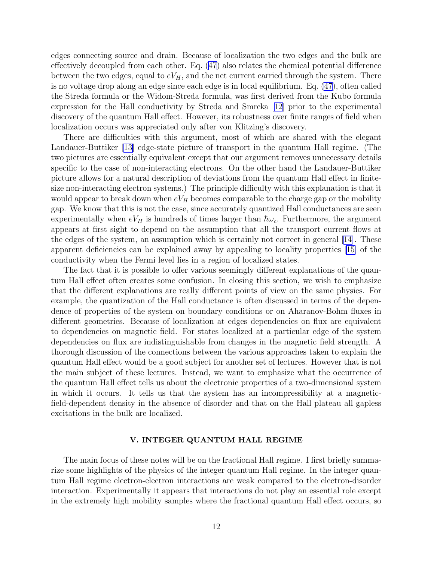edges connecting source and drain. Because of localization the two edges and the bulk are effectively decoupled from each other. Eq. [\(47\)](#page-10-0) also relates the chemical potential difference between the two edges, equal to  $eV_H$ , and the net current carried through the system. There is no voltage drop along an edge since each edge is in local equilibrium. Eq. [\(47](#page-10-0)), often called the Streda formula or the Widom-Streda formula, was first derived from the Kubo formula expression for the Hall conductivity by Streda and Smrcka[[12\]](#page-44-0) prior to the experimental discovery of the quantum Hall effect. However, its robustness over finite ranges of field when localization occurs was appreciated only after von Klitzing's discovery.

There are difficulties with this argument, most of which are shared with the elegant Landauer-Buttiker[[13\]](#page-44-0) edge-state picture of transport in the quantum Hall regime. (The two pictures are essentially equivalent except that our argument removes unnecessary details specific to the case of non-interacting electrons. On the other hand the Landauer-Buttiker picture allows for a natural description of deviations from the quantum Hall effect in finitesize non-interacting electron systems.) The principle difficulty with this explanation is that it would appear to break down when  $eV_H$  becomes comparable to the charge gap or the mobility gap. We know that this is not the case, since accurately quantized Hall conductances are seen experimentally when  $eV_H$  is hundreds of times larger than  $\hbar\omega_c$ . Furthermore, the argument appears at first sight to depend on the assumption that all the transport current flows at the edges of the system, an assumption which is certainly not correct in general[[14\]](#page-44-0). These apparent deficiencies can be explained away by appealing to locality properties[[15\]](#page-44-0) of the conductivity when the Fermi level lies in a region of localized states.

The fact that it is possible to offer various seemingly different explanations of the quantum Hall effect often creates some confusion. In closing this section, we wish to emphasize that the different explanations are really different points of view on the same physics. For example, the quantization of the Hall conductance is often discussed in terms of the dependence of properties of the system on boundary conditions or on Aharanov-Bohm fluxes in different geometries. Because of localization at edges dependencies on flux are equivalent to dependencies on magnetic field. For states localized at a particular edge of the system dependencies on flux are indistinguishable from changes in the magnetic field strength. A thorough discussion of the connections between the various approaches taken to explain the quantum Hall effect would be a good subject for another set of lectures. However that is not the main subject of these lectures. Instead, we want to emphasize what the occurrence of the quantum Hall effect tells us about the electronic properties of a two-dimensional system in which it occurs. It tells us that the system has an incompressibility at a magneticfield-dependent density in the absence of disorder and that on the Hall plateau all gapless excitations in the bulk are localized.

## V. INTEGER QUANTUM HALL REGIME

The main focus of these notes will be on the fractional Hall regime. I first briefly summarize some highlights of the physics of the integer quantum Hall regime. In the integer quantum Hall regime electron-electron interactions are weak compared to the electron-disorder interaction. Experimentally it appears that interactions do not play an essential role except in the extremely high mobility samples where the fractional quantum Hall effect occurs, so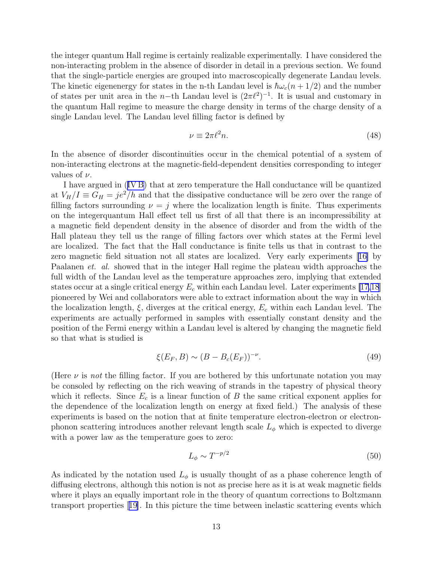the integer quantum Hall regime is certainly realizable experimentally. I have considered the non-interacting problem in the absence of disorder in detail in a previous section. We found that the single-particle energies are grouped into macroscopically degenerate Landau levels. The kinetic eigenenergy for states in the n-th Landau level is  $\hbar\omega_c(n+1/2)$  and the number of states per unit area in the n-th Landau level is  $(2\pi l^2)^{-1}$ . It is usual and customary in the quantum Hall regime to measure the charge density in terms of the charge density of a single Landau level. The Landau level filling factor is defined by

$$
\nu \equiv 2\pi \ell^2 n. \tag{48}
$$

In the absence of disorder discontinuities occur in the chemical potential of a system of non-interacting electrons at the magnetic-field-dependent densities corresponding to integer values of  $\nu$ .

I have argued in ([IV B\)](#page-9-0) that at zero temperature the Hall conductance will be quantized at  $V_H/I \equiv G_H = \frac{je^2}{h}$  and that the dissipative conductance will be zero over the range of filling factors surrounding  $\nu = j$  where the localization length is finite. Thus experiments on the integerquantum Hall effect tell us first of all that there is an incompressibility at a magnetic field dependent density in the absence of disorder and from the width of the Hall plateau they tell us the range of filling factors over which states at the Fermi level are localized. The fact that the Hall conductance is finite tells us that in contrast to the zero magnetic field situation not all states are localized. Very early experiments[[16\]](#page-44-0) by Paalanen *et. al.* showed that in the integer Hall regime the plateau width approaches the full width of the Landau level as the temperature approaches zero, implying that extended states occur at a single critical energy  $E_c$  within each Landau level. Later experiments [\[17,18](#page-44-0)] pioneered by Wei and collaborators were able to extract information about the way in which the localization length,  $\xi$ , diverges at the critical energy,  $E_c$  within each Landau level. The experiments are actually performed in samples with essentially constant density and the position of the Fermi energy within a Landau level is altered by changing the magnetic field so that what is studied is

$$
\xi(E_F, B) \sim (B - B_c(E_F))^{-\nu}.
$$
\n(49)

(Here  $\nu$  is not the filling factor. If you are bothered by this unfortunate notation you may be consoled by reflecting on the rich weaving of strands in the tapestry of physical theory which it reflects. Since  $E_c$  is a linear function of B the same critical exponent applies for the dependence of the localization length on energy at fixed field.) The analysis of these experiments is based on the notion that at finite temperature electron-electron or electronphonon scattering introduces another relevant length scale  $L_{\phi}$  which is expected to diverge with a power law as the temperature goes to zero:

$$
L_{\phi} \sim T^{-p/2} \tag{50}
$$

As indicated by the notation used  $L_{\phi}$  is usually thought of as a phase coherence length of diffusing electrons, although this notion is not as precise here as it is at weak magnetic fields where it plays an equally important role in the theory of quantum corrections to Boltzmann transport properties[[19\]](#page-44-0). In this picture the time between inelastic scattering events which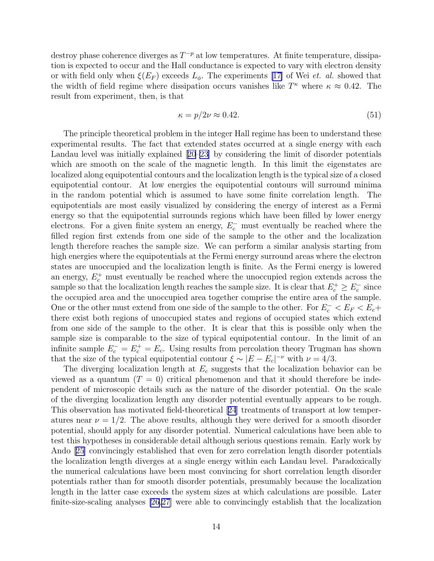destroy phase coherence diverges as  $T^{-p}$  at low temperatures. At finite temperature, dissipation is expected to occur and the Hall conductance is expected to vary with electron density or with field only when  $\xi(E_F)$  exceeds  $L_{\phi}$ . The experiments [\[17\]](#page-44-0) of Wei *et. al.* showed that the width of field regime where dissipation occurs vanishes like  $T^{\kappa}$  where  $\kappa \approx 0.42$ . The result from experiment, then, is that

$$
\kappa = p/2\nu \approx 0.42. \tag{51}
$$

The principle theoretical problem in the integer Hall regime has been to understand these experimental results. The fact that extended states occurred at a single energy with each Landau level was initially explained[[20–23](#page-44-0)] by considering the limit of disorder potentials which are smooth on the scale of the magnetic length. In this limit the eigenstates are localized along equipotential contours and the localization length is the typical size of a closed equipotential contour. At low energies the equipotential contours will surround minima in the random potential which is assumed to have some finite correlation length. The equipotentials are most easily visualized by considering the energy of interest as a Fermi energy so that the equipotential surrounds regions which have been filled by lower energy electrons. For a given finite system an energy,  $E_c^-$  must eventually be reached where the filled region first extends from one side of the sample to the other and the localization length therefore reaches the sample size. We can perform a similar analysis starting from high energies where the equipotentials at the Fermi energy surround areas where the electron states are unoccupied and the localization length is finite. As the Fermi energy is lowered an energy,  $E_c^+$  must eventually be reached where the unoccupied region extends across the sample so that the localization length reaches the sample size. It is clear that  $E_c^+ \ge E_c^-$  since the occupied area and the unoccupied area together comprise the entire area of the sample. One or the other must extend from one side of the sample to the other. For  $E_c^ < E_F < E_c +$ there exist both regions of unoccupied states and regions of occupied states which extend from one side of the sample to the other. It is clear that this is possible only when the sample size is comparable to the size of typical equipotential contour. In the limit of an infinite sample  $E_c^- = E_c^+ = E_c$ . Using results from percolation theory Trugman has shown that the size of the typical equipotential contour  $\xi \sim |E - E_c|^{-\nu}$  with  $\nu = 4/3$ .

The diverging localization length at  $E_c$  suggests that the localization behavior can be viewed as a quantum  $(T = 0)$  critical phenomenon and that it should therefore be independent of microscopic details such as the nature of the disorder potential. On the scale of the diverging localization length any disorder potential eventually appears to be rough. This observation has motivated field-theoretical[[24](#page-44-0)] treatments of transport at low temperatures near  $\nu = 1/2$ . The above results, although they were derived for a smooth disorder potential, should apply for any disorder potential. Numerical calculations have been able to test this hypotheses in considerable detail although serious questions remain. Early work by Ando[[25\]](#page-44-0) convincingly established that even for zero correlation length disorder potentials the localization length diverges at a single energy within each Landau level. Paradoxically the numerical calculations have been most convincing for short correlation length disorder potentials rather than for smooth disorder potentials, presumably because the localization length in the latter case exceeds the system sizes at which calculations are possible. Later finite-size-scaling analyses [\[26,27](#page-45-0)] were able to convincingly establish that the localization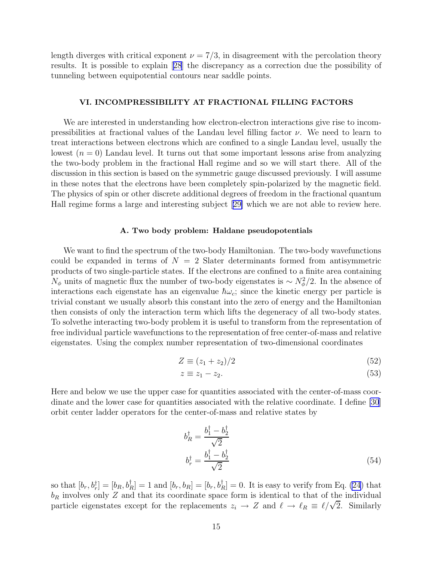<span id="page-14-0"></span>length diverges with critical exponent  $\nu = 7/3$ , in disagreement with the percolation theory results. It is possible to explain[[28](#page-45-0)] the discrepancy as a correction due the possibility of tunneling between equipotential contours near saddle points.

## VI. INCOMPRESSIBILITY AT FRACTIONAL FILLING FACTORS

We are interested in understanding how electron-electron interactions give rise to incompressibilities at fractional values of the Landau level filling factor  $\nu$ . We need to learn to treat interactions between electrons which are confined to a single Landau level, usually the lowest  $(n = 0)$  Landau level. It turns out that some important lessons arise from analyzing the two-body problem in the fractional Hall regime and so we will start there. All of the discussion in this section is based on the symmetric gauge discussed previously. I will assume in these notes that the electrons have been completely spin-polarized by the magnetic field. The physics of spin or other discrete additional degrees of freedom in the fractional quantum Hall regime forms a large and interesting subject[[29\]](#page-45-0) which we are not able to review here.

## A. Two body problem: Haldane pseudopotentials

We want to find the spectrum of the two-body Hamiltonian. The two-body wavefunctions could be expanded in terms of  $N = 2$  Slater determinants formed from antisymmetric products of two single-particle states. If the electrons are confined to a finite area containing  $N_{\phi}$  units of magnetic flux the number of two-body eigenstates is ~  $N_{\phi}^2/2$ . In the absence of interactions each eigenstate has an eigenvalue  $\hbar\omega_c$ ; since the kinetic energy per particle is trivial constant we usually absorb this constant into the zero of energy and the Hamiltonian then consists of only the interaction term which lifts the degeneracy of all two-body states. To solvethe interacting two-body problem it is useful to transform from the representation of free individual particle wavefunctions to the representation of free center-of-mass and relative eigenstates. Using the complex number representation of two-dimensional coordinates

$$
Z \equiv (z_1 + z_2)/2 \tag{52}
$$

$$
z \equiv z_1 - z_2. \tag{53}
$$

Here and below we use the upper case for quantities associated with the center-of-mass coordinate and the lower case for quantities associated with the relative coordinate. I define [\[30](#page-45-0)] orbit center ladder operators for the center-of-mass and relative states by

$$
b_R^{\dagger} = \frac{b_1^{\dagger} - b_2^{\dagger}}{\sqrt{2}}
$$
  

$$
b_r^{\dagger} = \frac{b_1^{\dagger} - b_2^{\dagger}}{\sqrt{2}}
$$
 (54)

so that  $[b_r, b_r^{\dagger}] = [b_R, b_R^{\dagger}] = 1$  and  $[b_r, b_R^{\dagger}] = [b_r, b_R^{\dagger}] = 0$ . It is easy to verify from Eq. [\(24](#page-5-0)) that  $b_R$  involves only Z and that its coordinate space form is identical to that of the individual particle eigenstates except for the replacements  $z_i \to Z$  and  $\ell \to \ell_R \equiv \ell/\sqrt{2}$ . Similarly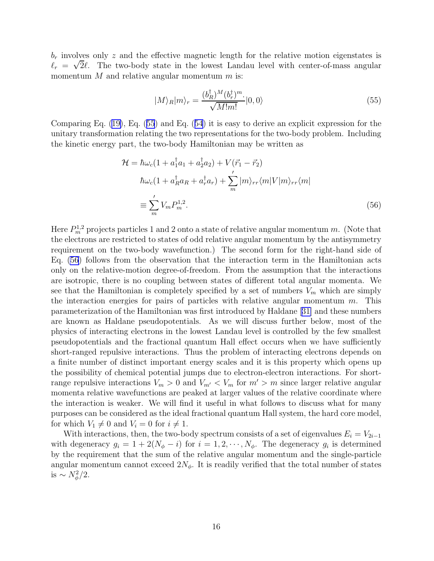$b_r$  involves only z and the effective magnetic length for the relative motion eigenstates is  $\ell_r = \sqrt{2}\ell$ . The two-body state in the lowest Landau level with center-of-mass angular momentum  $M$  and relative angular momentum  $m$  is:

$$
|M\rangle_R|m\rangle_r = \frac{(b_R^{\dagger})^M (b_r^{\dagger})^m}{\sqrt{M!m!}}|0,0\rangle
$$
\n(55)

Comparing Eq. ([19\)](#page-5-0), Eq. (55) and Eq. ([54](#page-14-0)) it is easy to derive an explicit expression for the unitary transformation relating the two representations for the two-body problem. Including the kinetic energy part, the two-body Hamiltonian may be written as

$$
\mathcal{H} = \hbar\omega_c (1 + a_1^{\dagger} a_1 + a_2^{\dagger} a_2) + V(\vec{r}_1 - \vec{r}_2)
$$
  
\n
$$
\hbar\omega_c (1 + a_R^{\dagger} a_R + a_r^{\dagger} a_r) + \sum_{m}^{\prime} |m\rangle_{rr} \langle m|V|m\rangle_{rr} \langle m|
$$
  
\n
$$
\equiv \sum_{m}^{\prime} V_m P_m^{1,2}.
$$
\n(56)

Here  $P_m^{1,2}$  projects particles 1 and 2 onto a state of relative angular momentum m. (Note that the electrons are restricted to states of odd relative angular momentum by the antisymmetry requirement on the two-body wavefunction.) The second form for the right-hand side of Eq. (56) follows from the observation that the interaction term in the Hamiltonian acts only on the relative-motion degree-of-freedom. From the assumption that the interactions are isotropic, there is no coupling between states of different total angular momenta. We see that the Hamiltonian is completely specified by a set of numbers  $V_m$  which are simply the interaction energies for pairs of particles with relative angular momentum  $m$ . This parameterization of the Hamiltonian was first introduced by Haldane[[31\]](#page-45-0) and these numbers are known as Haldane pseudopotentials. As we will discuss further below, most of the physics of interacting electrons in the lowest Landau level is controlled by the few smallest pseudopotentials and the fractional quantum Hall effect occurs when we have sufficiently short-ranged repulsive interactions. Thus the problem of interacting electrons depends on a finite number of distinct important energy scales and it is this property which opens up the possibility of chemical potential jumps due to electron-electron interactions. For shortrange repulsive interactions  $V_m > 0$  and  $V_{m'} < V_m$  for  $m' > m$  since larger relative angular momenta relative wavefunctions are peaked at larger values of the relative coordinate where the interaction is weaker. We will find it useful in what follows to discuss what for many purposes can be considered as the ideal fractional quantum Hall system, the hard core model, for which  $V_1 \neq 0$  and  $V_i = 0$  for  $i \neq 1$ .

With interactions, then, the two-body spectrum consists of a set of eigenvalues  $E_i = V_{2i-1}$ with degeneracy  $g_i = 1 + 2(N_\phi - i)$  for  $i = 1, 2, \dots, N_\phi$ . The degeneracy  $g_i$  is determined by the requirement that the sum of the relative angular momentum and the single-particle angular momentum cannot exceed  $2N_{\phi}$ . It is readily verified that the total number of states is  $\sim N_\phi^2/2$ .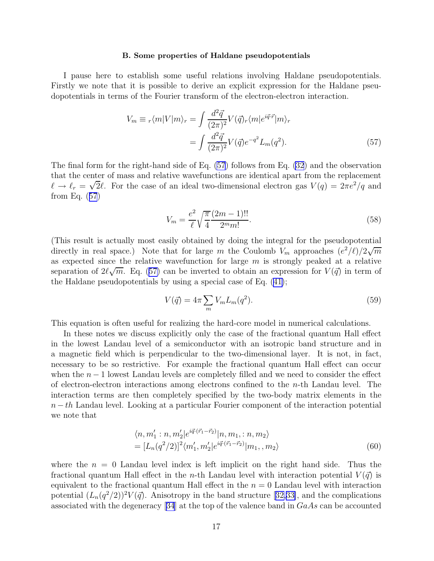#### B. Some properties of Haldane pseudopotentials

<span id="page-16-0"></span>I pause here to establish some useful relations involving Haldane pseudopotentials. Firstly we note that it is possible to derive an explicit expression for the Haldane pseudopotentials in terms of the Fourier transform of the electron-electron interaction.

$$
V_m \equiv r \langle m | V | m \rangle_r = \int \frac{d^2 \vec{q}}{(2\pi)^2} V(\vec{q}) r \langle m | e^{i \vec{q} \cdot \vec{r}} | m \rangle_r
$$

$$
= \int \frac{d^2 \vec{q}}{(2\pi)^2} V(\vec{q}) e^{-q^2} L_m(q^2). \tag{57}
$$

The final form for the right-hand side of Eq. (57) follows from Eq. [\(32](#page-7-0)) and the observation that the center of mass and relative wavefunctions are identical apart from the replacement  $\ell \to \ell_r = \sqrt{2}\ell$ . For the case of an ideal two-dimensional electron gas  $V(q) = 2\pi e^2/q$  and from Eq. (57)

$$
V_m = \frac{e^2}{\ell} \sqrt{\frac{\pi}{4}} \frac{(2m-1)!!}{2^m m!}.
$$
\n(58)

(This result is actually most easily obtained by doing the integral for the pseudopotential directly in real space.) Note that for large m the Coulomb  $V_m$  approaches  $(e^2/\ell)/2\sqrt{m}$ as expected since the relative wavefunction for large  $m$  is strongly peaked at a relative separation of  $2\ell\sqrt{m}$ . Eq. (57) can be inverted to obtain an expression for  $V(\vec{q})$  in term of the Haldane pseudopotentials by using a special case of Eq. ([41\)](#page-8-0);

$$
V(\vec{q}) = 4\pi \sum_{m} V_m L_m(q^2). \tag{59}
$$

This equation is often useful for realizing the hard-core model in numerical calculations.

In these notes we discuss explicitly only the case of the fractional quantum Hall effect in the lowest Landau level of a semiconductor with an isotropic band structure and in a magnetic field which is perpendicular to the two-dimensional layer. It is not, in fact, necessary to be so restrictive. For example the fractional quantum Hall effect can occur when the  $n-1$  lowest Landau levels are completely filled and we need to consider the effect of electron-electron interactions among electrons confined to the  $n$ -th Landau level. The interaction terms are then completely specified by the two-body matrix elements in the  $n-th$  Landau level. Looking at a particular Fourier component of the interaction potential we note that

$$
\langle n, m'_1 : n, m'_2 | e^{i \vec{q} \cdot (\vec{r}_1 - \vec{r}_2)} | n, m_1 : n, m_2 \rangle
$$
  
= 
$$
[L_n(q^2/2)]^2 \langle m'_1, m'_2 | e^{i \vec{q} \cdot (\vec{r}_1 - \vec{r}_2)} | m_1, m_2 \rangle
$$
 (60)

where the  $n = 0$  Landau level index is left implicit on the right hand side. Thus the fractional quantum Hall effect in the *n*-th Landau level with interaction potential  $V(\vec{q})$  is equivalent to the fractional quantum Hall effect in the  $n = 0$  Landau level with interaction potential $(L_n(q^2/2))^2 V(\vec{q})$ . Anisotropy in the band structure [[32,33\]](#page-45-0), and the complications associated with the degeneracy[[34](#page-45-0)] at the top of the valence band in GaAs can be accounted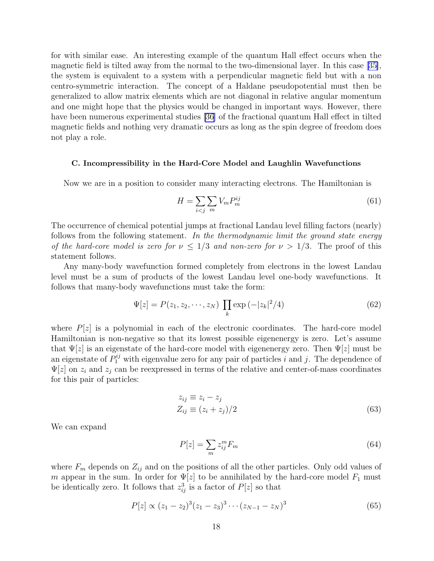<span id="page-17-0"></span>for with similar ease. An interesting example of the quantum Hall effect occurs when the magnetic field is tilted away from the normal to the two-dimensional layer. In this case [\[35\]](#page-45-0), the system is equivalent to a system with a perpendicular magnetic field but with a non centro-symmetric interaction. The concept of a Haldane pseudopotential must then be generalized to allow matrix elements which are not diagonal in relative angular momentum and one might hope that the physics would be changed in important ways. However, there have been numerous experimental studies [\[36\]](#page-45-0) of the fractional quantum Hall effect in tilted magnetic fields and nothing very dramatic occurs as long as the spin degree of freedom does not play a role.

## C. Incompressibility in the Hard-Core Model and Laughlin Wavefunctions

Now we are in a position to consider many interacting electrons. The Hamiltonian is

$$
H = \sum_{i < j} \sum_{m} V_m P_m^{ij} \tag{61}
$$

The occurrence of chemical potential jumps at fractional Landau level filling factors (nearly) follows from the following statement. In the thermodynamic limit the ground state energy of the hard-core model is zero for  $\nu \leq 1/3$  and non-zero for  $\nu > 1/3$ . The proof of this statement follows.

Any many-body wavefunction formed completely from electrons in the lowest Landau level must be a sum of products of the lowest Landau level one-body wavefunctions. It follows that many-body wavefunctions must take the form:

$$
\Psi[z] = P(z_1, z_2, \cdots, z_N) \prod_k \exp(-|z_k|^2/4)
$$
\n(62)

where  $P[z]$  is a polynomial in each of the electronic coordinates. The hard-core model Hamiltonian is non-negative so that its lowest possible eigenenergy is zero. Let's assume that  $\Psi[z]$  is an eigenstate of the hard-core model with eigenenergy zero. Then  $\Psi[z]$  must be an eigenstate of  $P_1^{ij}$  with eigenvalue zero for any pair of particles i and j. The dependence of  $\Psi[z]$  on  $z_i$  and  $z_j$  can be reexpressed in terms of the relative and center-of-mass coordinates for this pair of particles:

$$
z_{ij} \equiv z_i - z_j
$$
  
\n
$$
Z_{ij} \equiv (z_i + z_j)/2
$$
\n(63)

We can expand

$$
P[z] = \sum_{m} z_{ij}^{m} F_m \tag{64}
$$

where  $F_m$  depends on  $Z_{ij}$  and on the positions of all the other particles. Only odd values of m appear in the sum. In order for  $\Psi[z]$  to be annihilated by the hard-core model  $F_1$  must be identically zero. It follows that  $z_{ij}^3$  is a factor of  $P[z]$  so that

$$
P[z] \propto (z_1 - z_2)^3 (z_1 - z_3)^3 \cdots (z_{N-1} - z_N)^3 \tag{65}
$$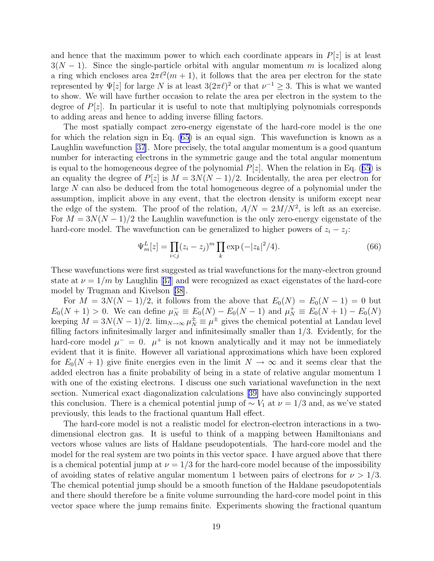and hence that the maximum power to which each coordinate appears in  $P[z]$  is at least  $3(N-1)$ . Since the single-particle orbital with angular momentum m is localized along a ring which encloses area  $2\pi l^2(m+1)$ , it follows that the area per electron for the state represented by  $\Psi[z]$  for large N is at least  $3(2\pi\ell)^2$  or that  $\nu^{-1} \geq 3$ . This is what we wanted to show. We will have further occasion to relate the area per electron in the system to the degree of  $P[z]$ . In particular it is useful to note that multiplying polynomials corresponds to adding areas and hence to adding inverse filling factors.

The most spatially compact zero-energy eigenstate of the hard-core model is the one for which the relation sign in Eq. [\(65](#page-17-0)) is an equal sign. This wavefunction is known as a Laughlin wavefunction [\[37](#page-45-0)]. More precisely, the total angular momentum is a good quantum number for interacting electrons in the symmetric gauge and the total angular momentum is equal to the homogeneous degree of the polynomial  $P[z]$ . When the relation in Eq. ([65](#page-17-0)) is an equality the degree of  $P[z]$  is  $M = 3N(N-1)/2$ . Incidentally, the area per electron for large N can also be deduced from the total homogeneous degree of a polynomial under the assumption, implicit above in any event, that the electron density is uniform except near the edge of the system. The proof of the relation,  $A/N = 2M/N^2$ , is left as an exercise. For  $M = 3N(N-1)/2$  the Laughlin wavefunction is the only zero-energy eigenstate of the hard-core model. The wavefunction can be generalized to higher powers of  $z_i - z_j$ :

$$
\Psi_m^L[z] = \prod_{i < j} (z_i - z_j)^m \prod_k \exp\left(-|z_k|^2/4\right). \tag{66}
$$

These wavefunctions were first suggested as trial wavefunctions for the many-electron ground stateat  $\nu = 1/m$  by Laughlin [[37](#page-45-0)] and were recognized as exact eigenstates of the hard-core model by Trugman and Kivelson[[38\]](#page-45-0).

For  $M = 3N(N-1)/2$ , it follows from the above that  $E_0(N) = E_0(N-1) = 0$  but  $E_0(N+1) > 0$ . We can define  $\mu_N^- \equiv E_0(N) - E_0(N-1)$  and  $\mu_N^+ \equiv E_0(N+1) - E_0(N)$ keeping  $M = 3N(N-1)/2$ .  $\lim_{N \to \infty} \mu_N^{\pm} \equiv \mu^{\pm}$  gives the chemical potential at Landau level filling factors infinitesimally larger and infinitesimally smaller than 1/3. Evidently, for the hard-core model  $\mu^- = 0$ .  $\mu^+$  is not known analytically and it may not be immediately evident that it is finite. However all variational approximations which have been explored for  $E_0(N+1)$  give finite energies even in the limit  $N \to \infty$  and it seems clear that the added electron has a finite probability of being in a state of relative angular momentum 1 with one of the existing electrons. I discuss one such variational wavefunction in the next section. Numerical exact diagonalization calculations[[39\]](#page-45-0) have also convincingly supported this conclusion. There is a chemical potential jump of  $\sim V_1$  at  $\nu = 1/3$  and, as we've stated previously, this leads to the fractional quantum Hall effect.

The hard-core model is not a realistic model for electron-electron interactions in a twodimensional electron gas. It is useful to think of a mapping between Hamiltonians and vectors whose values are lists of Haldane pseudopotentials. The hard-core model and the model for the real system are two points in this vector space. I have argued above that there is a chemical potential jump at  $\nu = 1/3$  for the hard-core model because of the impossibility of avoiding states of relative angular momentum 1 between pairs of electrons for  $\nu > 1/3$ . The chemical potential jump should be a smooth function of the Haldane pseudopotentials and there should therefore be a finite volume surrounding the hard-core model point in this vector space where the jump remains finite. Experiments showing the fractional quantum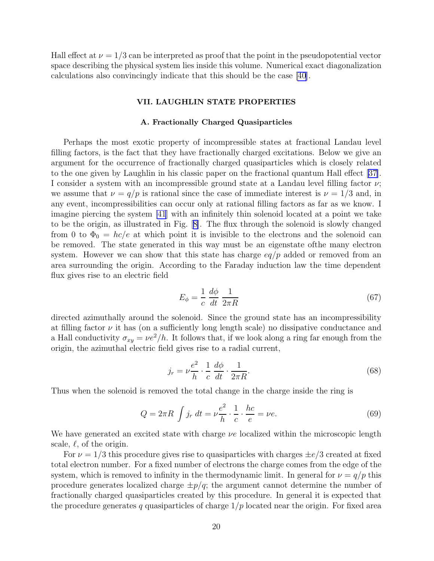Hall effect at  $\nu = 1/3$  can be interpreted as proof that the point in the pseudopotential vector space describing the physical system lies inside this volume. Numerical exact diagonalization calculations also convincingly indicate that this should be the case [\[40](#page-45-0)].

## VII. LAUGHLIN STATE PROPERTIES

#### A. Fractionally Charged Quasiparticles

Perhaps the most exotic property of incompressible states at fractional Landau level filling factors, is the fact that they have fractionally charged excitations. Below we give an argument for the occurrence of fractionally charged quasiparticles which is closely related to the one given by Laughlin in his classic paper on the fractional quantum Hall effect [\[37\]](#page-45-0). I consider a system with an incompressible ground state at a Landau level filling factor  $\nu$ ; we assume that  $\nu = q/p$  is rational since the case of immediate interest is  $\nu = 1/3$  and, in any event, incompressibilities can occur only at rational filling factors as far as we know. I imagine piercing the system [\[41](#page-45-0)] with an infinitely thin solenoid located at a point we take to be the origin, as illustrated in Fig.[[8\]](#page-49-0). The flux through the solenoid is slowly changed from 0 to  $\Phi_0 = hc/e$  at which point it is invisible to the electrons and the solenoid can be removed. The state generated in this way must be an eigenstate ofthe many electron system. However we can show that this state has charge  $eq/p$  added or removed from an area surrounding the origin. According to the Faraday induction law the time dependent flux gives rise to an electric field

$$
E_{\phi} = \frac{1}{c} \frac{d\phi}{dt} \frac{1}{2\pi R} \tag{67}
$$

directed azimuthally around the solenoid. Since the ground state has an incompressibility at filling factor  $\nu$  it has (on a sufficiently long length scale) no dissipative conductance and a Hall conductivity  $\sigma_{xy} = \nu e^2/h$ . It follows that, if we look along a ring far enough from the origin, the azimuthal electric field gives rise to a radial current,

$$
j_r = \nu \frac{e^2}{h} \cdot \frac{1}{c} \frac{d\phi}{dt} \cdot \frac{1}{2\pi R}.
$$
 (68)

Thus when the solenoid is removed the total change in the charge inside the ring is

$$
Q = 2\pi R \int j_r \, dt = \nu \frac{e^2}{h} \cdot \frac{1}{c} \cdot \frac{hc}{e} = \nu e. \tag{69}
$$

We have generated an excited state with charge  $\nu e$  localized within the microscopic length scale,  $\ell$ , of the origin.

For  $\nu = 1/3$  this procedure gives rise to quasiparticles with charges  $\pm e/3$  created at fixed total electron number. For a fixed number of electrons the charge comes from the edge of the system, which is removed to infinity in the thermodynamic limit. In general for  $\nu = q/p$  this procedure generates localized charge  $\pm p/q$ ; the argument cannot determine the number of fractionally charged quasiparticles created by this procedure. In general it is expected that the procedure generates q quasiparticles of charge  $1/p$  located near the origin. For fixed area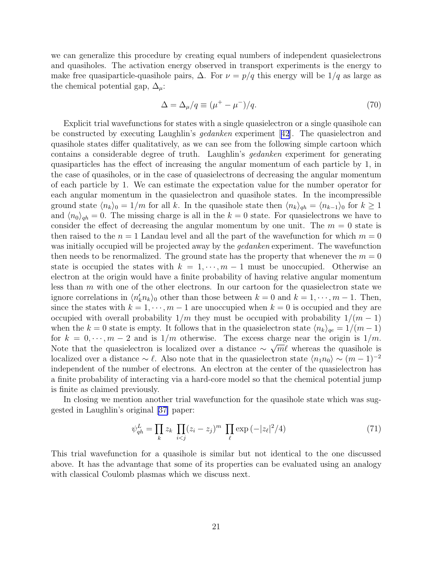we can generalize this procedure by creating equal numbers of independent quasielectrons and quasiholes. The activation energy observed in transport experiments is the energy to make free quasiparticle-quasihole pairs,  $\Delta$ . For  $\nu = p/q$  this energy will be  $1/q$  as large as the chemical potential gap,  $\Delta_{\mu}$ :

$$
\Delta = \Delta_{\mu}/q \equiv (\mu^{+} - \mu^{-})/q. \tag{70}
$$

Explicit trial wavefunctions for states with a single quasielectron or a single quasihole can be constructed by executing Laughlin's gedanken experiment[[42](#page-45-0)]. The quasielectron and quasihole states differ qualitatively, as we can see from the following simple cartoon which contains a considerable degree of truth. Laughlin's gedanken experiment for generating quasiparticles has the effect of increasing the angular momentum of each particle by 1, in the case of quasiholes, or in the case of quasielectrons of decreasing the angular momentum of each particle by 1. We can estimate the expectation value for the number operator for each angular momentum in the quasielectron and quasihole states. In the incompressible ground state  $\langle n_k \rangle_0 = 1/m$  for all k. In the quasihole state then  $\langle n_k \rangle_{qh} = \langle n_{k-1} \rangle_0$  for  $k \ge 1$ and  $\langle n_0 \rangle_{gh} = 0$ . The missing charge is all in the  $k = 0$  state. For quasielectrons we have to consider the effect of decreasing the angular momentum by one unit. The  $m = 0$  state is then raised to the  $n = 1$  Landau level and all the part of the wavefunction for which  $m = 0$ was initially occupied will be projected away by the *gedanken* experiment. The wavefunction then needs to be renormalized. The ground state has the property that whenever the  $m = 0$ state is occupied the states with  $k = 1, \dots, m-1$  must be unoccupied. Otherwise an electron at the origin would have a finite probability of having relative angular momentum less than  $m$  with one of the other electrons. In our cartoon for the quasielectron state we ignore correlations in  $\langle n'_k n_k \rangle_0$  other than those between  $k = 0$  and  $k = 1, \dots, m - 1$ . Then, since the states with  $k = 1, \dots, m - 1$  are unoccupied when  $k = 0$  is occupied and they are occupied with overall probability  $1/m$  they must be occupied with probability  $1/(m-1)$ when the k = 0 state is empty. It follows that in the quasielectron state  $\langle n_k \rangle_{qe} = 1/(m-1)$ for  $k = 0, \dots, m-2$  and is  $1/m$  otherwise. The excess charge near the origin is  $1/m$ . Note that the quasielectron is localized over a distance  $\sim \sqrt{m\ell}$  whereas the quasihole is localized over a distance  $\sim \ell$ . Also note that in the quasielectron state  $\langle n_1n_0 \rangle \sim (m-1)^{-2}$ independent of the number of electrons. An electron at the center of the quasielectron has a finite probability of interacting via a hard-core model so that the chemical potential jump is finite as claimed previously.

In closing we mention another trial wavefunction for the quasihole state which was suggested in Laughlin's original[[37\]](#page-45-0) paper:

$$
\psi_{qh}^L = \prod_k z_k \prod_{i < j} (z_i - z_j)^m \prod_\ell \exp\left(-|z_\ell|^2/4\right) \tag{71}
$$

This trial wavefunction for a quasihole is similar but not identical to the one discussed above. It has the advantage that some of its properties can be evaluated using an analogy with classical Coulomb plasmas which we discuss next.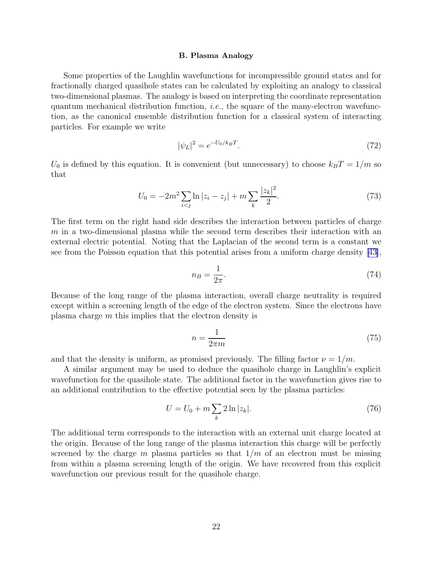#### B. Plasma Analogy

Some properties of the Laughlin wavefunctions for incompressible ground states and for fractionally charged quasihole states can be calculated by exploiting an analogy to classical two-dimensional plasmas. The analogy is based on interpreting the coordinate representation quantum mechanical distribution function, *i.e.*, the square of the many-electron wavefunction, as the canonical ensemble distribution function for a classical system of interacting particles. For example we write

$$
|\psi_L|^2 = e^{-U_0/k_B T}.\tag{72}
$$

 $U_0$  is defined by this equation. It is convenient (but unnecessary) to choose  $k_BT = 1/m$  so that

$$
U_0 = -2m^2 \sum_{i < j} \ln|z_i - z_j| + m \sum_k \frac{|z_k|^2}{2}.\tag{73}
$$

 $\overline{2}$ 

The first term on the right hand side describes the interaction between particles of charge  $m$  in a two-dimensional plasma while the second term describes their interaction with an external electric potential. Noting that the Laplacian of the second term is a constant we see from the Poisson equation that this potential arises from a uniform charge density [\[43\]](#page-45-0),

$$
n_B = \frac{1}{2\pi}.\tag{74}
$$

Because of the long range of the plasma interaction, overall charge neutrality is required except within a screening length of the edge of the electron system. Since the electrons have plasma charge  $m$  this implies that the electron density is

$$
n = \frac{1}{2\pi m} \tag{75}
$$

and that the density is uniform, as promised previously. The filling factor  $\nu = 1/m$ .

A similar argument may be used to deduce the quasihole charge in Laughlin's explicit wavefunction for the quasihole state. The additional factor in the wavefunction gives rise to an additional contribution to the effective potential seen by the plasma particles:

$$
U = U_0 + m \sum_{k} 2 \ln |z_k|.
$$
 (76)

The additional term corresponds to the interaction with an external unit charge located at the origin. Because of the long range of the plasma interaction this charge will be perfectly screened by the charge m plasma particles so that  $1/m$  of an electron must be missing from within a plasma screening length of the origin. We have recovered from this explicit wavefunction our previous result for the quasihole charge.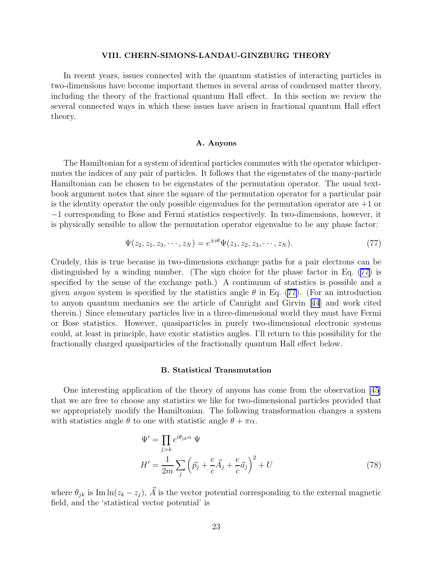## VIII. CHERN-SIMONS-LANDAU-GINZBURG THEORY

In recent years, issues connected with the quantum statistics of interacting particles in two-dimensions have become important themes in several areas of condensed matter theory, including the theory of the fractional quantum Hall effect. In this section we review the several connected ways in which these issues have arisen in fractional quantum Hall effect theory.

#### A. Anyons

The Hamiltonian for a system of identical particles commutes with the operator whichpermutes the indices of any pair of particles. It follows that the eigenstates of the many-particle Hamiltonian can be chosen to be eigenstates of the permutation operator. The usual textbook argument notes that since the square of the permutation operator for a particular pair is the identity operator the only possible eigenvalues for the permutation operator are  $+1$  or −1 corresponding to Bose and Fermi statistics respectively. In two-dimensions, however, it is physically sensible to allow the permutation operator eigenvalue to be any phase factor:

$$
\Psi(z_2, z_1, z_3, \cdots, z_N) = e^{\pm i\theta} \Psi(z_1, z_2, z_3, \cdots, z_N).
$$
\n(77)

Crudely, this is true because in two-dimensions exchange paths for a pair electrons can be distinguished by a winding number. (The sign choice for the phase factor in Eq. (77) is specified by the sense of the exchange path.) A continuum of statistics is possible and a given anyon system is specified by the statistics angle  $\theta$  in Eq. (77). (For an introduction to anyon quantum mechanics see the article of Canright and Girvin[[44](#page-45-0)] and work cited therein.) Since elementary particles live in a three-dimensional world they must have Fermi or Bose statistics. However, quasiparticles in purely two-dimensional electronic systems could, at least in principle, have exotic statistics angles. I'll return to this possibility for the fractionally charged quasiparticles of the fractionally quantum Hall effect below.

## B. Statistical Transmutation

One interesting application of the theory of anyons has come from the observation [\[45](#page-45-0)] that we are free to choose any statistics we like for two-dimensional particles provided that we appropriately modify the Hamiltonian. The following transformation changes a system with statistics angle  $\theta$  to one with statistic angle  $\theta + \pi \alpha$ .

$$
\Psi' = \prod_{j>k} e^{i\theta_{jk}\alpha} \Psi
$$
  
\n
$$
H' = \frac{1}{2m} \sum_{j} \left( \vec{p}_j + \frac{e}{c} \vec{A}_j + \frac{e}{c} \vec{a}_j \right)^2 + U
$$
\n(78)

where  $\theta_{jk}$  is Im ln( $z_k - z_j$ ),  $\vec{A}$  is the vector potential corresponding to the external magnetic field, and the 'statistical vector potential' is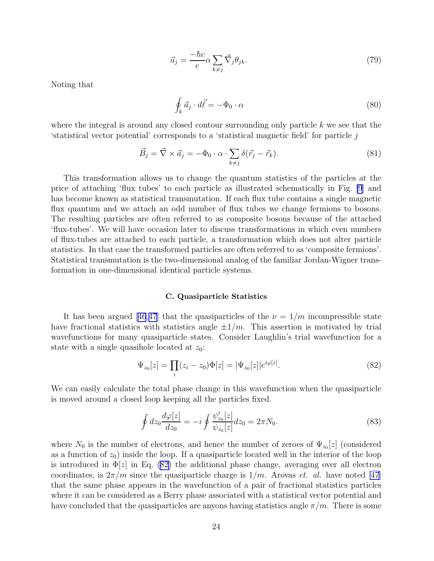$$
\vec{a}_j = \frac{-\hbar c}{e} \alpha \sum_{k \neq j} \vec{\nabla}_j \theta_{jk}.
$$
\n(79)

Noting that

$$
\oint_{k} \vec{a}_j \cdot d\vec{\ell} = -\Phi_0 \cdot \alpha \tag{80}
$$

where the integral is around any closed contour surrounding only particle  $k$  we see that the 'statistical vector potential' corresponds to a 'statistical magnetic field' for particle j

$$
\vec{B}_j = \vec{\nabla} \times \vec{a}_j = -\Phi_0 \cdot \alpha \cdot \sum_{k \neq j} \delta(\vec{r}_j - \vec{r}_k). \tag{81}
$$

This transformation allows us to change the quantum statistics of the particles at the price of attaching 'flux tubes' to each particle as illustrated schematically in Fig. [\[9](#page-49-0)] and has become known as statistical transmutation. If each flux tube contains a single magnetic flux quantum and we attach an odd number of flux tubes we change fermions to bosons. The resulting particles are often referred to as composite bosons because of the attached 'flux-tubes'. We will have occasion later to discuss transformations in which even numbers of flux-tubes are attached to each particle, a transformation which does not alter particle statistics. In that case the transformed particles are often referred to as 'composite fermions'. Statistical transmutation is the two-dimensional analog of the familiar Jordan-Wigner transformation in one-dimensional identical particle systems.

#### C. Quasiparticle Statistics

Ithas been argued [[46](#page-46-0),[47](#page-46-0)] that the quasiparticles of the  $\nu = 1/m$  incompressible state have fractional statistics with statistics angle  $\pm 1/m$ . This assertion is motivated by trial wavefunctions for many quasiparticle states. Consider Laughlin's trial wavefunction for a state with a single quasihole located at  $z_0$ :

$$
\Psi_{z_0}[z] = \prod_i (z_i - z_0) \Phi[z] = |\Psi_{z_0}[z]|e^{i\varphi[z]}.
$$
\n(82)

We can easily calculate the total phase change in this wavefunction when the quasiparticle is moved around a closed loop keeping all the particles fixed.

$$
\oint dz_0 \frac{d\varphi[z]}{dz_0} = -i \oint \frac{\psi_{z_0}'[z]}{\psi_{z_0}[z]} dz_0 = 2\pi N_0.
$$
\n(83)

where  $N_0$  is the number of electrons, and hence the number of zeroes of  $\Psi_{z_0}[z]$  (considered as a function of  $z_0$ ) inside the loop. If a quasiparticle located well in the interior of the loop is introduced in  $\Phi[z]$  in Eq. (82) the additional phase change, averaging over all electron coordinates, is  $2\pi/m$  since the quasiparticle charge is  $1/m$ . Arovas *et. al.* have noted [\[47](#page-46-0)] that the same phase appears in the wavefunction of a pair of fractional statistics particles where it can be considered as a Berry phase associated with a statistical vector potential and have concluded that the quasiparticles are anyons having statistics angle  $\pi/m$ . There is some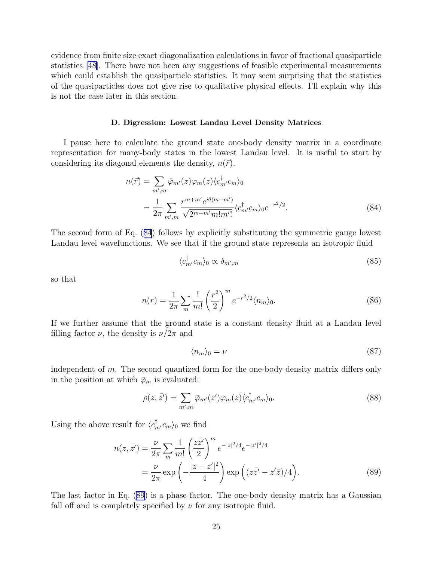evidence from finite size exact diagonalization calculations in favor of fractional quasiparticle statistics [\[48](#page-46-0)]. There have not been any suggestions of feasible experimental measurements which could establish the quasiparticle statistics. It may seem surprising that the statistics of the quasiparticles does not give rise to qualitative physical effects. I'll explain why this is not the case later in this section.

#### D. Digression: Lowest Landau Level Density Matrices

I pause here to calculate the ground state one-body density matrix in a coordinate representation for many-body states in the lowest Landau level. It is useful to start by considering its diagonal elements the density,  $n(\vec{r})$ .

$$
n(\vec{r}) = \sum_{m',m} \bar{\varphi}_{m'}(z) \varphi_m(z) \langle c_m^{\dagger} c_m \rangle_0
$$
  
= 
$$
\frac{1}{2\pi} \sum_{m',m} \frac{r^{m+m'} e^{i\theta(m-m')}}{\sqrt{2^{m+m'} m! m'!}} \langle c_m^{\dagger} c_m \rangle_0 e^{-r^2/2}.
$$
 (84)

The second form of Eq. (84) follows by explicitly substituting the symmetric gauge lowest Landau level wavefunctions. We see that if the ground state represents an isotropic fluid

$$
\langle c_{m'}^{\dagger} c_m \rangle_0 \propto \delta_{m',m} \tag{85}
$$

so that

$$
n(r) = \frac{1}{2\pi} \sum_{m} \frac{!}{m!} \left(\frac{r^2}{2}\right)^m e^{-r^2/2} \langle n_m \rangle_0.
$$
 (86)

If we further assume that the ground state is a constant density fluid at a Landau level filling factor  $\nu$ , the density is  $\nu/2\pi$  and

$$
\langle n_m \rangle_0 = \nu \tag{87}
$$

independent of m. The second quantized form for the one-body density matrix differs only in the position at which  $\bar{\varphi}_m$  is evaluated:

$$
\rho(z,\bar{z}') = \sum_{m',m} \bar{\varphi}_{m'}(z') \varphi_m(z) \langle c_{m'}^\dagger c_m \rangle_0. \tag{88}
$$

Using the above result for  $\langle c_m^{\dagger} c_m \rangle_0$  we find

$$
n(z, \bar{z}') = \frac{\nu}{2\pi} \sum_{m} \frac{1}{m!} \left(\frac{z\bar{z}'}{2}\right)^m e^{-|z|^2/4} e^{-|z'|^2/4}
$$
  
=  $\frac{\nu}{2\pi} \exp\left(-\frac{|z-z'|^2}{4}\right) \exp\left((z\bar{z}' - z'\bar{z})/4\right).$  (89)

The last factor in Eq. (89) is a phase factor. The one-body density matrix has a Gaussian fall off and is completely specified by  $\nu$  for any isotropic fluid.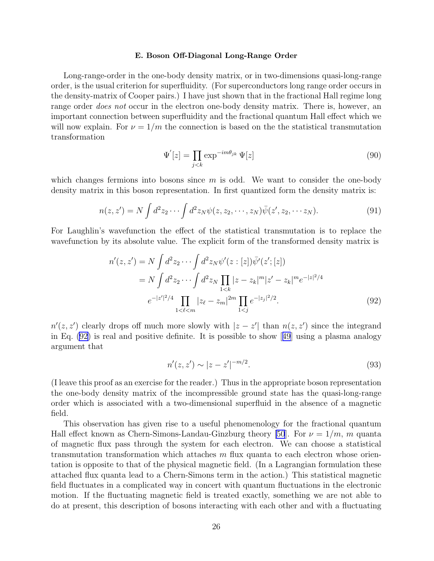#### E. Boson Off-Diagonal Long-Range Order

Long-range-order in the one-body density matrix, or in two-dimensions quasi-long-range order, is the usual criterion for superfluidity. (For superconductors long range order occurs in the density-matrix of Cooper pairs.) I have just shown that in the fractional Hall regime long range order *does not* occur in the electron one-body density matrix. There is, however, an important connection between superfluidity and the fractional quantum Hall effect which we will now explain. For  $\nu = 1/m$  the connection is based on the statistical transmutation transformation

$$
\Psi'[z] = \prod_{j < k} \exp^{-im\theta_{jk}} \Psi[z] \tag{90}
$$

which changes fermions into bosons since  $m$  is odd. We want to consider the one-body density matrix in this boson representation. In first quantized form the density matrix is:

$$
n(z, z') = N \int d^2 z_2 \cdots \int d^2 z_N \psi(z, z_2, \cdots, z_N) \overline{\psi}(z', z_2, \cdots z_N).
$$
 (91)

For Laughlin's wavefunction the effect of the statistical transmutation is to replace the wavefunction by its absolute value. The explicit form of the transformed density matrix is

$$
n'(z, z') = N \int d^2 z_2 \cdots \int d^2 z_N \psi'(z : [z]) \overline{\psi'}(z'; [z])
$$
  
=  $N \int d^2 z_2 \cdots \int d^2 z_N \prod_{1 < k} |z - z_k|^m |z' - z_k|^m e^{-|z|^2/4}$   

$$
e^{-|z'|^2/4} \prod_{1 < \ell < m} |z_\ell - z_m|^{2m} \prod_{1 < j} e^{-|z_j|^2/2}.
$$
 (92)

 $n'(z, z')$  clearly drops off much more slowly with  $|z - z'|$  than  $n(z, z')$  since the integrand inEq.  $(92)$  is real and positive definite. It is possible to show [[49](#page-46-0)] using a plasma analogy argument that

$$
n'(z, z') \sim |z - z'|^{-m/2}.
$$
\n(93)

(I leave this proof as an exercise for the reader.) Thus in the appropriate boson representation the one-body density matrix of the incompressible ground state has the quasi-long-range order which is associated with a two-dimensional superfluid in the absence of a magnetic field.

This observation has given rise to a useful phenomenology for the fractional quantum Hall effect known as Chern-Simons-Landau-Ginzburg theory [\[50](#page-46-0)]. For  $\nu = 1/m$ , m quanta of magnetic flux pass through the system for each electron. We can choose a statistical transmutation transformation which attaches  $m$  flux quanta to each electron whose orientation is opposite to that of the physical magnetic field. (In a Lagrangian formulation these attached flux quanta lead to a Chern-Simons term in the action.) This statistical magnetic field fluctuates in a complicated way in concert with quantum fluctuations in the electronic motion. If the fluctuating magnetic field is treated exactly, something we are not able to do at present, this description of bosons interacting with each other and with a fluctuating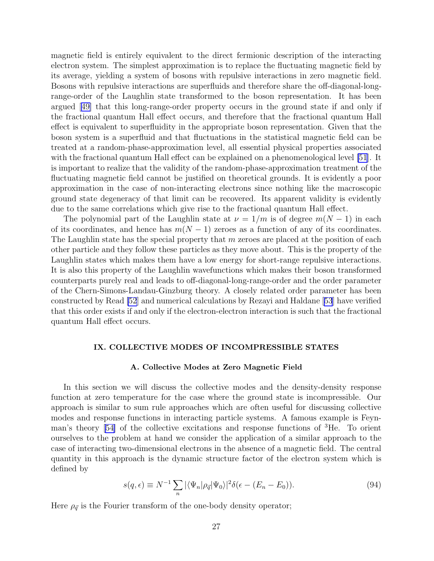magnetic field is entirely equivalent to the direct fermionic description of the interacting electron system. The simplest approximation is to replace the fluctuating magnetic field by its average, yielding a system of bosons with repulsive interactions in zero magnetic field. Bosons with repulsive interactions are superfluids and therefore share the off-diagonal-longrange-order of the Laughlin state transformed to the boson representation. It has been argued[[49\]](#page-46-0) that this long-range-order property occurs in the ground state if and only if the fractional quantum Hall effect occurs, and therefore that the fractional quantum Hall effect is equivalent to superfluidity in the appropriate boson representation. Given that the boson system is a superfluid and that fluctuations in the statistical magnetic field can be treated at a random-phase-approximation level, all essential physical properties associated with the fractional quantum Hall effect can be explained on a phenomenological level [\[51](#page-46-0)]. It is important to realize that the validity of the random-phase-approximation treatment of the fluctuating magnetic field cannot be justified on theoretical grounds. It is evidently a poor approximation in the case of non-interacting electrons since nothing like the macroscopic ground state degeneracy of that limit can be recovered. Its apparent validity is evidently due to the same correlations which give rise to the fractional quantum Hall effect.

The polynomial part of the Laughlin state at  $\nu = 1/m$  is of degree  $m(N - 1)$  in each of its coordinates, and hence has  $m(N - 1)$  zeroes as a function of any of its coordinates. The Laughlin state has the special property that  $m$  zeroes are placed at the position of each other particle and they follow these particles as they move about. This is the property of the Laughlin states which makes them have a low energy for short-range repulsive interactions. It is also this property of the Laughlin wavefunctions which makes their boson transformed counterparts purely real and leads to off-diagonal-long-range-order and the order parameter of the Chern-Simons-Landau-Ginzburg theory. A closely related order parameter has been constructed by Read [\[52](#page-46-0)] and numerical calculations by Rezayi and Haldane[[53](#page-46-0)] have verified that this order exists if and only if the electron-electron interaction is such that the fractional quantum Hall effect occurs.

## IX. COLLECTIVE MODES OF INCOMPRESSIBLE STATES

## A. Collective Modes at Zero Magnetic Field

In this section we will discuss the collective modes and the density-density response function at zero temperature for the case where the ground state is incompressible. Our approach is similar to sum rule approaches which are often useful for discussing collective modes and response functions in interacting particle systems. A famous example is Feynman's theory[[54\]](#page-46-0) of the collective excitations and response functions of <sup>3</sup>He. To orient ourselves to the problem at hand we consider the application of a similar approach to the case of interacting two-dimensional electrons in the absence of a magnetic field. The central quantity in this approach is the dynamic structure factor of the electron system which is defined by

$$
s(q,\epsilon) \equiv N^{-1} \sum_{n} |\langle \Psi_n | \rho_{\vec{q}} | \Psi_0 \rangle|^2 \delta(\epsilon - (E_n - E_0)). \tag{94}
$$

Here  $\rho_{\vec{q}}$  is the Fourier transform of the one-body density operator;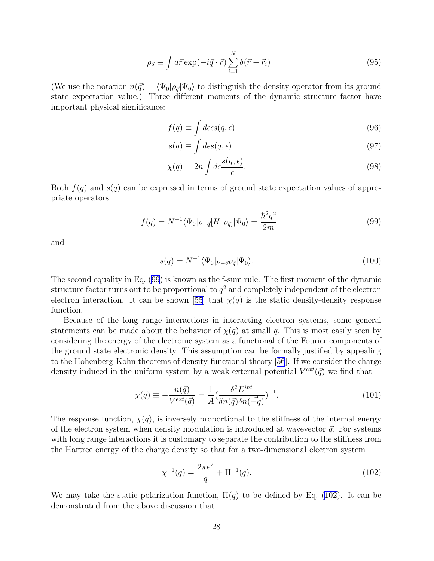$$
\rho_{\vec{q}} \equiv \int d\vec{r} \exp(-i\vec{q} \cdot \vec{r}) \sum_{i=1}^{N} \delta(\vec{r} - \vec{r}_i)
$$
\n(95)

(We use the notation  $n(\vec{q}) = \langle \Psi_0 | \rho_{\vec{q}} | \Psi_0 \rangle$  to distinguish the density operator from its ground state expectation value.) Three different moments of the dynamic structure factor have important physical significance:

$$
f(q) \equiv \int d\epsilon \epsilon s(q, \epsilon) \tag{96}
$$

$$
s(q) \equiv \int d\epsilon s(q, \epsilon) \tag{97}
$$

$$
\chi(q) = 2n \int d\epsilon \frac{s(q, \epsilon)}{\epsilon}.
$$
\n(98)

Both  $f(q)$  and  $s(q)$  can be expressed in terms of ground state expectation values of appropriate operators:

$$
f(q) = N^{-1} \langle \Psi_0 | \rho_{-\vec{q}} [H, \rho_{\vec{q}}] | \Psi_0 \rangle = \frac{\hbar^2 q^2}{2m}
$$
 (99)

and

$$
s(q) = N^{-1} \langle \Psi_0 | \rho_{-\vec{q}} \rho_{\vec{q}} | \Psi_0 \rangle. \tag{100}
$$

The second equality in Eq. (99) is known as the f-sum rule. The first moment of the dynamic structure factor turns out to be proportional to  $q^2$  and completely independent of the electron electroninteraction. It can be shown [[55](#page-46-0)] that  $\chi(q)$  is the static density-density response function.

Because of the long range interactions in interacting electron systems, some general statements can be made about the behavior of  $\chi(q)$  at small q. This is most easily seen by considering the energy of the electronic system as a functional of the Fourier components of the ground state electronic density. This assumption can be formally justified by appealing to the Hohenberg-Kohn theorems of density-functional theory[[56](#page-46-0)]. If we consider the charge density induced in the uniform system by a weak external potential  $V^{ext}(\vec{q})$  we find that

$$
\chi(q) \equiv -\frac{n(\vec{q})}{V^{ext}(\vec{q})} = \frac{1}{A} \left(\frac{\delta^2 E^{int}}{\delta n(\vec{q}) \delta n(-\vec{q})}\right)^{-1}.
$$
\n(101)

The response function,  $\chi(q)$ , is inversely proportional to the stiffness of the internal energy of the electron system when density modulation is introduced at wavevector  $\vec{q}$ . For systems with long range interactions it is customary to separate the contribution to the stiffness from the Hartree energy of the charge density so that for a two-dimensional electron system

$$
\chi^{-1}(q) = \frac{2\pi e^2}{q} + \Pi^{-1}(q). \tag{102}
$$

We may take the static polarization function,  $\Pi(q)$  to be defined by Eq. (102). It can be demonstrated from the above discussion that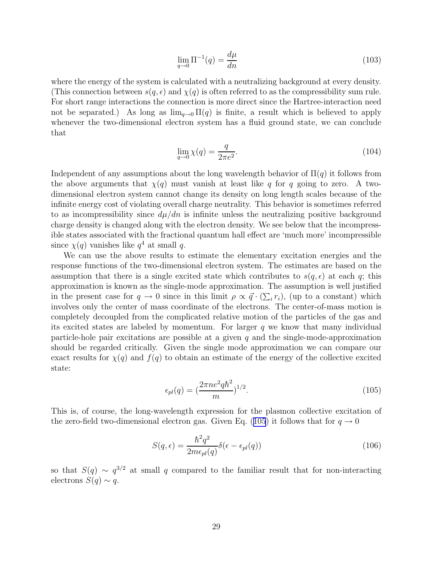$$
\lim_{q \to 0} \Pi^{-1}(q) = \frac{d\mu}{dn} \tag{103}
$$

where the energy of the system is calculated with a neutralizing background at every density. (This connection between  $s(q, \epsilon)$  and  $\chi(q)$  is often referred to as the compressibility sum rule. For short range interactions the connection is more direct since the Hartree-interaction need not be separated.) As long as  $\lim_{q\to 0} \Pi(q)$  is finite, a result which is believed to apply whenever the two-dimensional electron system has a fluid ground state, we can conclude that

$$
\lim_{q \to 0} \chi(q) = \frac{q}{2\pi e^2}.
$$
\n(104)

Independent of any assumptions about the long wavelength behavior of  $\Pi(q)$  it follows from the above arguments that  $\chi(q)$  must vanish at least like q for q going to zero. A twodimensional electron system cannot change its density on long length scales because of the infinite energy cost of violating overall charge neutrality. This behavior is sometimes referred to as incompressibility since  $d\mu/dn$  is infinite unless the neutralizing positive background charge density is changed along with the electron density. We see below that the incompressible states associated with the fractional quantum hall effect are 'much more' incompressible since  $\chi(q)$  vanishes like  $q^4$  at small q.

We can use the above results to estimate the elementary excitation energies and the response functions of the two-dimensional electron system. The estimates are based on the assumption that there is a single excited state which contributes to  $s(q, \epsilon)$  at each q; this approximation is known as the single-mode approximation. The assumption is well justified in the present case for  $q \to 0$  since in this limit  $\rho \propto \vec{q} \cdot (\sum_i r_i)$ , (up to a constant) which involves only the center of mass coordinate of the electrons. The center-of-mass motion is completely decoupled from the complicated relative motion of the particles of the gas and its excited states are labeled by momentum. For larger  $q$  we know that many individual particle-hole pair excitations are possible at a given  $q$  and the single-mode-approximation should be regarded critically. Given the single mode approximation we can compare our exact results for  $\chi(q)$  and  $f(q)$  to obtain an estimate of the energy of the collective excited state:

$$
\epsilon_{pl}(q) = \left(\frac{2\pi n e^2 q \hbar^2}{m}\right)^{1/2}.
$$
\n(105)

This is, of course, the long-wavelength expression for the plasmon collective excitation of the zero-field two-dimensional electron gas. Given Eq. (105) it follows that for  $q \to 0$ 

$$
S(q,\epsilon) = \frac{\hbar^2 q^2}{2m\epsilon_{pl}(q)} \delta(\epsilon - \epsilon_{pl}(q))
$$
\n(106)

so that  $S(q) \sim q^{3/2}$  at small q compared to the familiar result that for non-interacting electrons  $S(q) \sim q$ .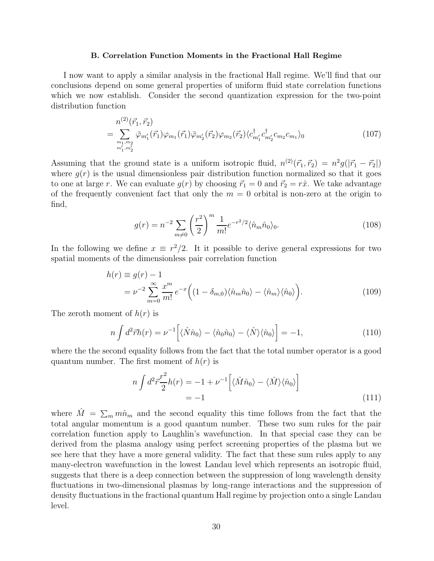#### B. Correlation Function Moments in the Fractional Hall Regime

I now want to apply a similar analysis in the fractional Hall regime. We'll find that our conclusions depend on some general properties of uniform fluid state correlation functions which we now establish. Consider the second quantization expression for the two-point distribution function

$$
n^{(2)}(\vec{r}_1, \vec{r}_2)
$$
\n
$$
= \sum_{\substack{m_1, m_2 \\ m'_1, m'_2}} \bar{\varphi}_{m'_1}(\vec{r}_1) \varphi_{m_1}(\vec{r}_1) \bar{\varphi}_{m'_2}(\vec{r}_2) \varphi_{m_2}(\vec{r}_2) \langle c_{m'_1}^{\dagger} c_{m'_2}^{\dagger} c_{m_2} c_{m_1} \rangle_0
$$
\n(107)

Assuming that the ground state is a uniform isotropic fluid,  $n^{(2)}(\vec{r}_1, \vec{r}_2) = n^2 g(|\vec{r}_1 - \vec{r}_2|)$ where  $g(r)$  is the usual dimensionless pair distribution function normalized so that it goes to one at large r. We can evaluate  $g(r)$  by choosing  $\vec{r_1} = 0$  and  $\vec{r_2} = r\hat{x}$ . We take advantage of the frequently convenient fact that only the  $m = 0$  orbital is non-zero at the origin to find,

$$
g(r) = n^{-2} \sum_{m \neq 0} \left(\frac{r^2}{2}\right)^m \frac{1}{m!} e^{-r^2/2} \langle \hat{n}_m \hat{n}_0 \rangle_0.
$$
 (108)

In the following we define  $x \equiv r^2/2$ . It it possible to derive general expressions for two spatial moments of the dimensionless pair correlation function

$$
h(r) \equiv g(r) - 1
$$
  
=  $\nu^{-2} \sum_{m=0}^{\infty} \frac{x^m}{m!} e^{-x} \Big( (1 - \delta_{m,0}) \langle \hat{n}_m \hat{n}_0 \rangle - \langle \hat{n}_m \rangle \langle \hat{n}_0 \rangle \Big).$  (109)

The zeroth moment of  $h(r)$  is

$$
n\int d^2\vec{r}h(r) = \nu^{-1}\left[\langle \hat{N}\hat{n}_0 \rangle - \langle \hat{n}_0\hat{n}_0 \rangle - \langle \hat{N} \rangle \langle \hat{n}_0 \rangle \right] = -1,\tag{110}
$$

where the the second equality follows from the fact that the total number operator is a good quantum number. The first moment of  $h(r)$  is

$$
n \int d^2 \vec{r} \frac{r^2}{2} h(r) = -1 + \nu^{-1} \left[ \langle \hat{M} \hat{n}_0 \rangle - \langle \hat{M} \rangle \langle \hat{n}_0 \rangle \right]
$$
  
= -1 (111)

where  $\hat{M} = \sum_m m \hat{n}_m$  and the second equality this time follows from the fact that the total angular momentum is a good quantum number. These two sum rules for the pair correlation function apply to Laughlin's wavefunction. In that special case they can be derived from the plasma analogy using perfect screening properties of the plasma but we see here that they have a more general validity. The fact that these sum rules apply to any many-electron wavefunction in the lowest Landau level which represents an isotropic fluid, suggests that there is a deep connection between the suppression of long wavelength density fluctuations in two-dimensional plasmas by long-range interactions and the suppression of density fluctuations in the fractional quantum Hall regime by projection onto a single Landau level.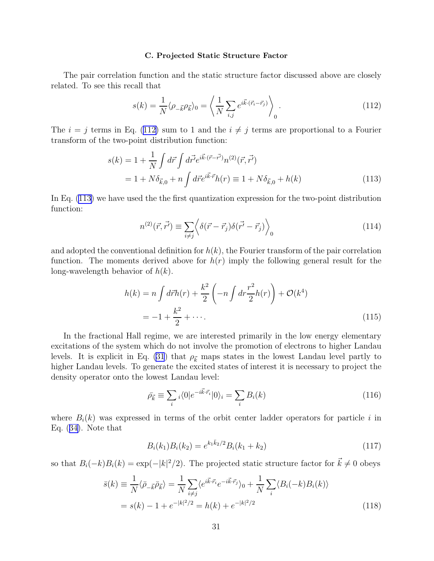#### C. Projected Static Structure Factor

<span id="page-30-0"></span>The pair correlation function and the static structure factor discussed above are closely related. To see this recall that

$$
s(k) = \frac{1}{N} \langle \rho_{-\vec{k}} \rho_{\vec{k}} \rangle_0 = \left\langle \frac{1}{N} \sum_{i,j} e^{i\vec{k} \cdot (\vec{r}_i - \vec{r}_j)} \right\rangle_0.
$$
 (112)

The  $i = j$  terms in Eq. (112) sum to 1 and the  $i \neq j$  terms are proportional to a Fourier transform of the two-point distribution function:

$$
s(k) = 1 + \frac{1}{N} \int d\vec{r} \int d\vec{r} e^{i\vec{k}\cdot(\vec{r}-\vec{r'})} n^{(2)}(\vec{r}, \vec{r'})
$$
  
= 1 + N\delta\_{\vec{k},0} + n \int d\vec{r} e^{i\vec{k}\cdot\vec{r}} h(r) \equiv 1 + N\delta\_{\vec{k},0} + h(k) (113)

In Eq. (113) we have used the the first quantization expression for the two-point distribution function:

$$
n^{(2)}(\vec{r},\vec{r'}) \equiv \sum_{i \neq j} \left\langle \delta(\vec{r}-\vec{r}_j)\delta(\vec{r'}-\vec{r}_j) \right\rangle_0 \tag{114}
$$

and adopted the conventional definition for  $h(k)$ , the Fourier transform of the pair correlation function. The moments derived above for  $h(r)$  imply the following general result for the long-wavelength behavior of  $h(k)$ .

$$
h(k) = n \int d\vec{r} h(r) + \frac{k^2}{2} \left( -n \int dr \frac{r^2}{2} h(r) \right) + \mathcal{O}(k^4)
$$
  
=  $-1 + \frac{k^2}{2} + \cdots$ . (115)

In the fractional Hall regime, we are interested primarily in the low energy elementary excitations of the system which do not involve the promotion of electrons to higher Landau levels. It is explicit in Eq. [\(31](#page-6-0)) that  $\rho_{\vec{k}}$  maps states in the lowest Landau level partly to higher Landau levels. To generate the excited states of interest it is necessary to project the density operator onto the lowest Landau level:

$$
\bar{\rho}_{\vec{k}} \equiv \sum_{i} \langle 0|e^{-i\vec{k}\cdot \vec{r}_{i}}|0\rangle_{i} = \sum_{i} B_{i}(k)
$$
\n(116)

where  $B_i(k)$  was expressed in terms of the orbit center ladder operators for particle i in Eq. ([34\)](#page-7-0). Note that

$$
B_i(k_1)B_i(k_2) = e^{k_1\bar{k}_2/2}B_i(k_1+k_2)
$$
\n(117)

so that  $B_i(-k)B_i(k) = \exp(-|k|^2/2)$ . The projected static structure factor for  $\vec{k} \neq 0$  obeys

$$
\bar{s}(k) \equiv \frac{1}{N} \langle \bar{\rho}_{-\vec{k}} \bar{\rho}_{\vec{k}} \rangle = \frac{1}{N} \sum_{i \neq j} \langle e^{i\vec{k} \cdot \vec{r}_i} e^{-i\vec{k} \cdot \vec{r}_j} \rangle_0 + \frac{1}{N} \sum_{i} \langle B_i(-k) B_i(k) \rangle
$$
  
=  $s(k) - 1 + e^{-|k|^2/2} = h(k) + e^{-|k|^2/2}$  (118)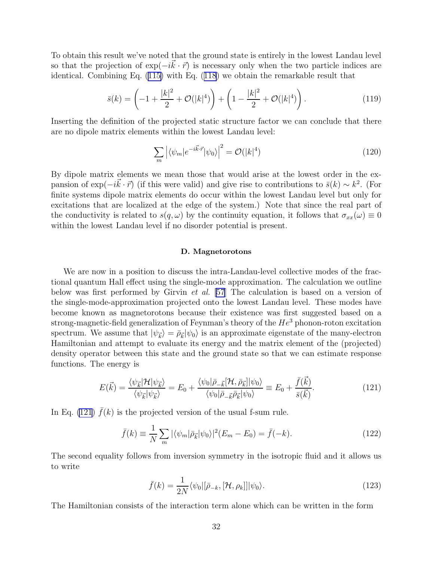To obtain this result we've noted that the ground state is entirely in the lowest Landau level so that the projection of  $\exp(-i\vec{k}\cdot\vec{r})$  is necessary only when the two particle indices are identical. Combining Eq. [\(115\)](#page-30-0) with Eq. ([118](#page-30-0)) we obtain the remarkable result that

$$
\bar{s}(k) = \left(-1 + \frac{|k|^2}{2} + \mathcal{O}(|k|^4)\right) + \left(1 - \frac{|k|^2}{2} + \mathcal{O}(|k|^4)\right). \tag{119}
$$

Inserting the definition of the projected static structure factor we can conclude that there are no dipole matrix elements within the lowest Landau level:

$$
\sum_{m} \left| \langle \psi_m | e^{-i\vec{k}\cdot\vec{r}} | \psi_0 \rangle \right|^2 = \mathcal{O}(|k|^4)
$$
\n(120)

By dipole matrix elements we mean those that would arise at the lowest order in the expansion of  $\exp(-i\vec{k}\cdot\vec{r})$  (if this were valid) and give rise to contributions to  $\bar{s}(k) \sim k^2$ . (For finite systems dipole matrix elements do occur within the lowest Landau level but only for excitations that are localized at the edge of the system.) Note that since the real part of the conductivity is related to  $s(q,\omega)$  by the continuity equation, it follows that  $\sigma_{xx}(\omega) \equiv 0$ within the lowest Landau level if no disorder potential is present.

#### D. Magnetorotons

We are now in a position to discuss the intra-Landau-level collective modes of the fractional quantum Hall effect using the single-mode approximation. The calculation we outline below was first performed by Girvin et al. [\[57](#page-46-0)] The calculation is based on a version of the single-mode-approximation projected onto the lowest Landau level. These modes have become known as magnetorotons because their existence was first suggested based on a strong-magnetic-field generalization of Feynman's theory of the  $He<sup>3</sup>$  phonon-roton excitation spectrum. We assume that  $|\psi_{\vec{k}}\rangle = \bar{\rho}_{\vec{k}} |\psi_0\rangle$  is an approximate eigenstate of the many-electron Hamiltonian and attempt to evaluate its energy and the matrix element of the (projected) density operator between this state and the ground state so that we can estimate response functions. The energy is

$$
E(\vec{k}) = \frac{\langle \psi_{\vec{k}} | \mathcal{H} | \psi_{\vec{k}} \rangle}{\langle \psi_{\vec{k}} | \psi_{\vec{k}} \rangle} = E_0 + \frac{\langle \psi_0 | \bar{\rho}_{-\vec{k}} [ \mathcal{H}, \bar{\rho}_{\vec{k}} ] | \psi_0 \rangle}{\langle \psi_0 | \bar{\rho}_{-\vec{k}} \bar{\rho}_{\vec{k}} | \psi_0 \rangle} \equiv E_0 + \frac{\bar{f}(\vec{k})}{\bar{s}(\vec{k})}.
$$
(121)

In Eq. (121)  $f(k)$  is the projected version of the usual f-sum rule.

$$
\bar{f}(k) \equiv \frac{1}{N} \sum_{m} |\langle \psi_m | \bar{\rho}_{\bar{k}} | \psi_0 \rangle|^2 (E_m - E_0) = \bar{f}(-k). \tag{122}
$$

The second equality follows from inversion symmetry in the isotropic fluid and it allows us to write

$$
\bar{f}(k) = \frac{1}{2N} \langle \psi_0 | [\bar{\rho}_{-k}, [\mathcal{H}, \rho_k]] | \psi_0 \rangle.
$$
 (123)

The Hamiltonian consists of the interaction term alone which can be written in the form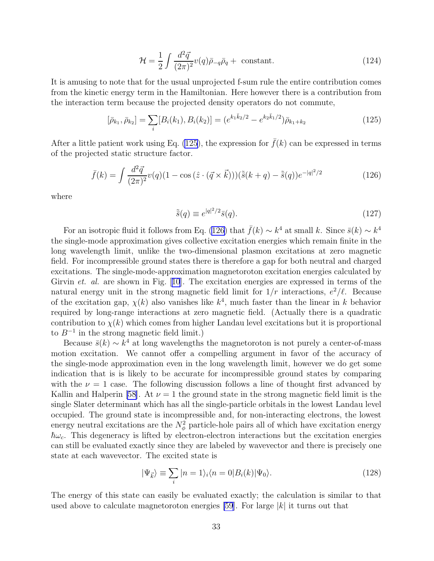$$
\mathcal{H} = \frac{1}{2} \int \frac{d^2 \vec{q}}{(2\pi)^2} v(q) \bar{\rho}_{-q} \bar{\rho}_q + \text{ constant.} \qquad (124)
$$

It is amusing to note that for the usual unprojected f-sum rule the entire contribution comes from the kinetic energy term in the Hamiltonian. Here however there is a contribution from the interaction term because the projected density operators do not commute,

$$
[\bar{\rho}_{k_1}, \bar{\rho}_{k_2}] = \sum_i [B_i(k_1), B_i(k_2)] = (e^{k_1 \bar{k}_2/2} - e^{k_2 \bar{k}_1/2}) \bar{\rho}_{k_1 + k_2}
$$
(125)

After a little patient work using Eq. (125), the expression for  $f(k)$  can be expressed in terms of the projected static structure factor.

$$
\bar{f}(k) = \int \frac{d^2 \vec{q}}{(2\pi)^2} v(q)(1 - \cos(\hat{z} \cdot (\vec{q} \times \vec{k}))) (\tilde{\bar{s}}(k+q) - \tilde{\bar{s}}(q)) e^{-|q|^2/2}
$$
(126)

where

$$
\tilde{\bar{s}}(q) \equiv e^{|q|^2/2} \bar{s}(q). \tag{127}
$$

For an isotropic fluid it follows from Eq. (126) that  $\bar{f}(k) \sim k^4$  at small k. Since  $\bar{s}(k) \sim k^4$ the single-mode approximation gives collective excitation energies which remain finite in the long wavelength limit, unlike the two-dimensional plasmon excitations at zero magnetic field. For incompressible ground states there is therefore a gap for both neutral and charged excitations. The single-mode-approximation magnetoroton excitation energies calculated by Girvin et. al. are shown in Fig.[[10](#page-49-0)]. The excitation energies are expressed in terms of the natural energy unit in the strong magnetic field limit for  $1/r$  interactions,  $e^2/\ell$ . Because of the excitation gap,  $\chi(k)$  also vanishes like  $k^4$ , much faster than the linear in k behavior required by long-range interactions at zero magnetic field. (Actually there is a quadratic contribution to  $\chi(k)$  which comes from higher Landau level excitations but it is proportional to  $B^{-1}$  in the strong magnetic field limit.)

Because  $\bar{s}(k) \sim k^4$  at long wavelengths the magnetoroton is not purely a center-of-mass motion excitation. We cannot offer a compelling argument in favor of the accuracy of the single-mode approximation even in the long wavelength limit, however we do get some indication that is is likely to be accurate for incompressible ground states by comparing with the  $\nu = 1$  case. The following discussion follows a line of thought first advanced by Kallin and Halperin [\[58](#page-46-0)]. At  $\nu = 1$  the ground state in the strong magnetic field limit is the single Slater determinant which has all the single-particle orbitals in the lowest Landau level occupied. The ground state is incompressible and, for non-interacting electrons, the lowest energy neutral excitations are the  $N^2_{\phi}$  particle-hole pairs all of which have excitation energy  $\hbar\omega_c$ . This degeneracy is lifted by electron-electron interactions but the excitation energies can still be evaluated exactly since they are labeled by wavevector and there is precisely one state at each wavevector. The excited state is

$$
|\Psi_{\vec{k}}\rangle \equiv \sum_{i} |n=1\rangle_{i} \langle n=0|B_{i}(k)|\Psi_{0}\rangle.
$$
 (128)

The energy of this state can easily be evaluated exactly; the calculation is similar to that used above to calculate magnetoroton energies [\[59](#page-46-0)]. For large  $|k|$  it turns out that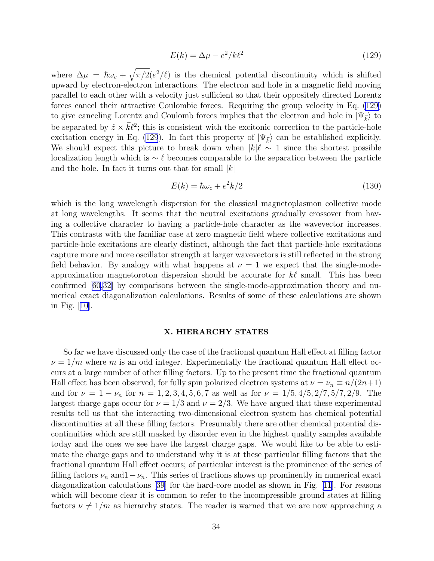$$
E(k) = \Delta \mu - e^2 / k \ell^2 \tag{129}
$$

where  $\Delta \mu = \hbar \omega_c + \sqrt{\pi/2} (e^2/\ell)$  is the chemical potential discontinuity which is shifted upward by electron-electron interactions. The electron and hole in a magnetic field moving parallel to each other with a velocity just sufficient so that their oppositely directed Lorentz forces cancel their attractive Coulombic forces. Requiring the group velocity in Eq. (129) to give canceling Lorentz and Coulomb forces implies that the electron and hole in  $|\Psi_{\vec{k}}\rangle$  to be separated by  $\hat{z} \times \vec{k} \ell^2$ ; this is consistent with the excitonic correction to the particle-hole excitation energy in Eq. (129). In fact this property of  $|\Psi_{\vec{k}}\rangle$  can be established explicitly. We should expect this picture to break down when  $|k|\ell \sim 1$  since the shortest possible localization length which is  $\sim \ell$  becomes comparable to the separation between the particle and the hole. In fact it turns out that for small  $|k|$ 

$$
E(k) = \hbar\omega_c + e^2k/2\tag{130}
$$

which is the long wavelength dispersion for the classical magnetoplasmon collective mode at long wavelengths. It seems that the neutral excitations gradually crossover from having a collective character to having a particle-hole character as the wavevector increases. This contrasts with the familiar case at zero magnetic field where collective excitations and particle-hole excitations are clearly distinct, although the fact that particle-hole excitations capture more and more oscillator strength at larger wavevectors is still reflected in the strong field behavior. By analogy with what happens at  $\nu = 1$  we expect that the single-modeapproximation magnetoroton dispersion should be accurate for  $k\ell$  small. This has been confirmed [\[60](#page-46-0)[,32\]](#page-45-0) by comparisons between the single-mode-approximation theory and numerical exact diagonalization calculations. Results of some of these calculations are shown in Fig.[[10\]](#page-49-0).

## X. HIERARCHY STATES

So far we have discussed only the case of the fractional quantum Hall effect at filling factor  $\nu = 1/m$  where m is an odd integer. Experimentally the fractional quantum Hall effect occurs at a large number of other filling factors. Up to the present time the fractional quantum Hall effect has been observed, for fully spin polarized electron systems at  $\nu = \nu_n \equiv n/(2n+1)$ and for  $\nu = 1 - \nu_n$  for  $n = 1, 2, 3, 4, 5, 6, 7$  as well as for  $\nu = 1/5, 4/5, 2/7, 5/7, 2/9$ . The largest charge gaps occur for  $\nu = 1/3$  and  $\nu = 2/3$ . We have argued that these experimental results tell us that the interacting two-dimensional electron system has chemical potential discontinuities at all these filling factors. Presumably there are other chemical potential discontinuities which are still masked by disorder even in the highest quality samples available today and the ones we see have the largest charge gaps. We would like to be able to estimate the charge gaps and to understand why it is at these particular filling factors that the fractional quantum Hall effect occurs; of particular interest is the prominence of the series of filling factors  $\nu_n$  and  $1-\nu_n$ . This series of fractions shows up prominently in numerical exact diagonalization calculations[[39](#page-45-0)] for the hard-core model as shown in Fig. [\[11\]](#page-49-0). For reasons which will become clear it is common to refer to the incompressible ground states at filling factors  $\nu \neq 1/m$  as hierarchy states. The reader is warned that we are now approaching a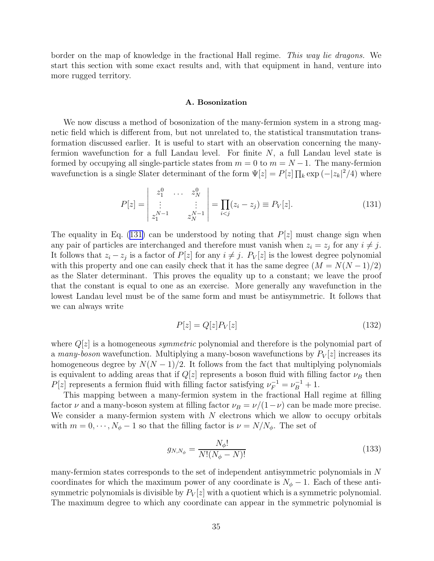border on the map of knowledge in the fractional Hall regime. This way lie dragons. We start this section with some exact results and, with that equipment in hand, venture into more rugged territory.

#### A. Bosonization

We now discuss a method of bosonization of the many-fermion system in a strong magnetic field which is different from, but not unrelated to, the statistical transmutation transformation discussed earlier. It is useful to start with an observation concerning the manyfermion wavefunction for a full Landau level. For finite  $N$ , a full Landau level state is formed by occupying all single-particle states from  $m = 0$  to  $m = N - 1$ . The many-fermion wavefunction is a single Slater determinant of the form  $\Psi[z] = P[z] \prod_k \exp(-|z_k|^2/4)$  where

$$
P[z] = \begin{vmatrix} z_1^0 & \cdots & z_N^0 \\ \vdots & & \vdots \\ z_1^{N-1} & & z_N^{N-1} \end{vmatrix} = \prod_{i < j} (z_i - z_j) \equiv P_V[z]. \tag{131}
$$

The equality in Eq. (131) can be understood by noting that  $P[z]$  must change sign when any pair of particles are interchanged and therefore must vanish when  $z_i = z_j$  for any  $i \neq j$ . It follows that  $z_i - z_j$  is a factor of  $P[z]$  for any  $i \neq j$ .  $P_V[z]$  is the lowest degree polynomial with this property and one can easily check that it has the same degree  $(M = N(N-1)/2)$ as the Slater determinant. This proves the equality up to a constant; we leave the proof that the constant is equal to one as an exercise. More generally any wavefunction in the lowest Landau level must be of the same form and must be antisymmetric. It follows that we can always write

$$
P[z] = Q[z]P_V[z] \tag{132}
$$

where  $Q[z]$  is a homogeneous *symmetric* polynomial and therefore is the polynomial part of a many-boson wavefunction. Multiplying a many-boson wavefunctions by  $P_V[z]$  increases its homogeneous degree by  $N(N-1)/2$ . It follows from the fact that multiplying polynomials is equivalent to adding areas that if  $Q[z]$  represents a boson fluid with filling factor  $\nu_B$  then  $P[z]$  represents a fermion fluid with filling factor satisfying  $\nu_F^{-1} = \nu_B^{-1} + 1$ .

This mapping between a many-fermion system in the fractional Hall regime at filling factor  $\nu$  and a many-boson system at filling factor  $\nu_B = \nu/(1-\nu)$  can be made more precise. We consider a many-fermion system with  $N$  electrons which we allow to occupy orbitals with  $m = 0, \dots, N_{\phi} - 1$  so that the filling factor is  $\nu = N/N_{\phi}$ . The set of

$$
g_{N,N_{\phi}} = \frac{N_{\phi}!}{N!(N_{\phi} - N)!}
$$
\n(133)

many-fermion states corresponds to the set of independent antisymmetric polynomials in N coordinates for which the maximum power of any coordinate is  $N_{\phi} - 1$ . Each of these antisymmetric polynomials is divisible by  $P_V[z]$  with a quotient which is a symmetric polynomial. The maximum degree to which any coordinate can appear in the symmetric polynomial is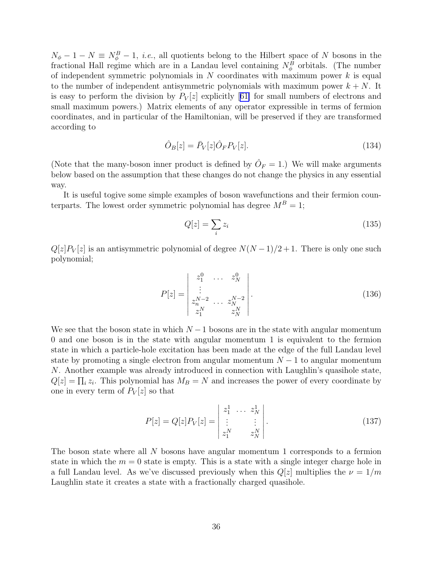$N_{\phi}-1-N \equiv N_{\phi}^B-1$ , *i.e.*, all quotients belong to the Hilbert space of N bosons in the fractional Hall regime which are in a Landau level containing  $N_{\phi}^B$  orbitals. (The number of independent symmetric polynomials in  $N$  coordinates with maximum power  $k$  is equal to the number of independent antisymmetric polynomials with maximum power  $k + N$ . It iseasy to perform the division by  $P_V[z]$  explicitly [[61\]](#page-46-0) for small numbers of electrons and small maximum powers.) Matrix elements of any operator expressible in terms of fermion coordinates, and in particular of the Hamiltonian, will be preserved if they are transformed according to

$$
\hat{O}_B[z] = \bar{P}_V[z]\hat{O}_F P_V[z].\tag{134}
$$

(Note that the many-boson inner product is defined by  $\hat{O}_F = 1$ .) We will make arguments below based on the assumption that these changes do not change the physics in any essential way.

It is useful togive some simple examples of boson wavefunctions and their fermion counterparts. The lowest order symmetric polynomial has degree  $M^B = 1$ ;

$$
Q[z] = \sum_{i} z_i \tag{135}
$$

 $Q[z]P_V[z]$  is an antisymmetric polynomial of degree  $N(N-1)/2+1$ . There is only one such polynomial;

$$
P[z] = \begin{vmatrix} z_1^0 & \cdots & z_N^0 \\ \vdots & & \\ z_N^{N-2} & \cdots & z_N^{N-2} \\ z_1^N & & z_N^N \end{vmatrix} .
$$
 (136)

We see that the boson state in which  $N-1$  bosons are in the state with angular momentum 0 and one boson is in the state with angular momentum 1 is equivalent to the fermion state in which a particle-hole excitation has been made at the edge of the full Landau level state by promoting a single electron from angular momentum  $N-1$  to angular momentum N. Another example was already introduced in connection with Laughlin's quasihole state,  $Q[z] = \prod_i z_i$ . This polynomial has  $M_B = N$  and increases the power of every coordinate by one in every term of  $P_V[z]$  so that

$$
P[z] = Q[z]P_V[z] = \begin{vmatrix} z_1^1 & \cdots & z_N^1 \\ \vdots & & \vdots \\ z_1^N & & z_N^N \end{vmatrix}.
$$
 (137)

The boson state where all N bosons have angular momentum 1 corresponds to a fermion state in which the  $m = 0$  state is empty. This is a state with a single integer charge hole in a full Landau level. As we've discussed previously when this  $Q[z]$  multiplies the  $\nu = 1/m$ Laughlin state it creates a state with a fractionally charged quasihole.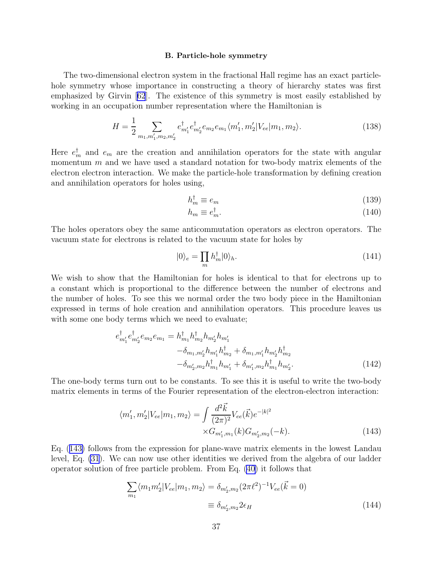#### B. Particle-hole symmetry

The two-dimensional electron system in the fractional Hall regime has an exact particlehole symmetry whose importance in constructing a theory of hierarchy states was first emphasized by Girvin[[62](#page-46-0)]. The existence of this symmetry is most easily established by working in an occupation number representation where the Hamiltonian is

$$
H = \frac{1}{2} \sum_{m_1, m_1', m_2, m_2'} e^{\dagger}_{m_1'} e^{\dagger}_{m_2'} e_{m_2} e_{m_1} \langle m_1', m_2' | V_{ee} | m_1, m_2 \rangle.
$$
 (138)

Here  $e_m^{\dagger}$  and  $e_m$  are the creation and annihilation operators for the state with angular momentum  $m$  and we have used a standard notation for two-body matrix elements of the electron electron interaction. We make the particle-hole transformation by defining creation and annihilation operators for holes using,

$$
h_m^{\dagger} \equiv e_m \tag{139}
$$

$$
h_m \equiv e_m^{\dagger}.
$$
\n(140)

The holes operators obey the same anticommutation operators as electron operators. The vacuum state for electrons is related to the vacuum state for holes by

$$
|0\rangle_e = \prod_m h_m^{\dagger} |0\rangle_h. \tag{141}
$$

We wish to show that the Hamiltonian for holes is identical to that for electrons up to a constant which is proportional to the difference between the number of electrons and the number of holes. To see this we normal order the two body piece in the Hamiltonian expressed in terms of hole creation and annihilation operators. This procedure leaves us with some one body terms which we need to evaluate;

$$
e_{m'_1}^{\dagger} e_{m'_2}^{\dagger} e_{m_2} e_{m_1} = h_{m_1}^{\dagger} h_{m_2}^{\dagger} h_{m'_2} h_{m'_1} - \delta_{m_1, m'_1} h_{m'_2} h_{m'_1}^{\dagger} h_{m'_2} + \delta_{m_1, m'_1} h_{m'_2} h_{m_2}^{\dagger} h_{m_2} - \delta_{m'_2, m_2} h_{m_1}^{\dagger} h_{m'_1} + \delta_{m'_1, m_2} h_{m_1}^{\dagger} h_{m'_2}.
$$
\n(142)

The one-body terms turn out to be constants. To see this it is useful to write the two-body matrix elements in terms of the Fourier representation of the electron-electron interaction:

$$
\langle m_1', m_2' | V_{ee} | m_1, m_2 \rangle = \int \frac{d^2 \vec{k}}{(2\pi)^2} V_{ee}(\vec{k}) e^{-|k|^2}
$$

$$
\times G_{m_1', m_1}(k) G_{m_2', m_2}(-k). \tag{143}
$$

Eq. (143) follows from the expression for plane-wave matrix elements in the lowest Landau level, Eq. [\(31](#page-6-0)). We can now use other identities we derived from the algebra of our ladder operator solution of free particle problem. From Eq. [\(40\)](#page-8-0) it follows that

$$
\sum_{m_1} \langle m_1 m_2' | V_{ee} | m_1, m_2 \rangle = \delta_{m_2', m_2} (2\pi \ell^2)^{-1} V_{ee} (\vec{k} = 0)
$$
  

$$
\equiv \delta_{m_2', m_2} 2\epsilon_H
$$
 (144)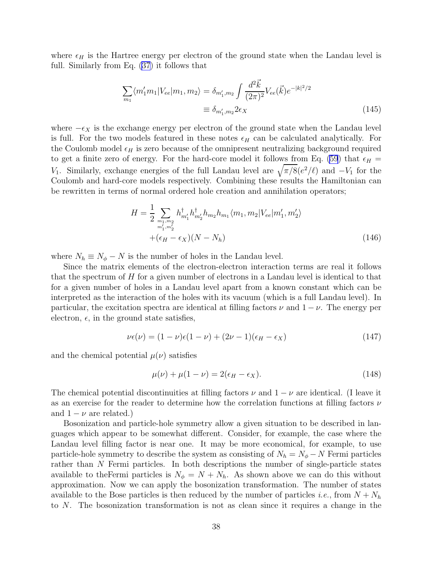where  $\epsilon_H$  is the Hartree energy per electron of the ground state when the Landau level is full. Similarly from Eq. [\(37](#page-7-0)) it follows that

$$
\sum_{m_1} \langle m'_1 m_1 | V_{ee} | m_1, m_2 \rangle = \delta_{m'_1, m_2} \int \frac{d^2 \vec{k}}{(2\pi)^2} V_{ee}(\vec{k}) e^{-|k|^2/2}
$$

$$
\equiv \delta_{m'_1, m_2} 2\epsilon_X \tag{145}
$$

where  $-\epsilon_X$  is the exchange energy per electron of the ground state when the Landau level is full. For the two models featured in these notes  $\epsilon_H$  can be calculated analytically. For the Coulomb model  $\epsilon_H$  is zero because of the omnipresent neutralizing background required to get a finite zero of energy. For the hard-core model it follows from Eq. [\(59](#page-16-0)) that  $\epsilon_H$  = V<sub>1</sub>. Similarly, exchange energies of the full Landau level are  $\sqrt{\pi/8(e^2/\ell)}$  and  $-V_1$  for the Coulomb and hard-core models respectively. Combining these results the Hamiltonian can be rewritten in terms of normal ordered hole creation and annihilation operators;

$$
H = \frac{1}{2} \sum_{\substack{m_1, m_2 \\ m'_1, m'_2}} h^{\dagger}_{m'_1} h^{\dagger}_{m'_2} h_{m_2} h_{m_1} \langle m_1, m_2 | V_{ee} | m'_1, m'_2 \rangle
$$
  
 
$$
+ (\epsilon_H - \epsilon_X)(N - N_h)
$$
 (146)

where  $N_h \equiv N_\phi - N$  is the number of holes in the Landau level.

Since the matrix elements of the electron-electron interaction terms are real it follows that the spectrum of  $H$  for a given number of electrons in a Landau level is identical to that for a given number of holes in a Landau level apart from a known constant which can be interpreted as the interaction of the holes with its vacuum (which is a full Landau level). In particular, the excitation spectra are identical at filling factors  $\nu$  and  $1 - \nu$ . The energy per electron,  $\epsilon$ , in the ground state satisfies,

$$
\nu \epsilon(\nu) = (1 - \nu)\epsilon(1 - \nu) + (2\nu - 1)(\epsilon_H - \epsilon_X) \tag{147}
$$

and the chemical potential  $\mu(\nu)$  satisfies

$$
\mu(\nu) + \mu(1 - \nu) = 2(\epsilon_H - \epsilon_X). \tag{148}
$$

The chemical potential discontinuities at filling factors  $\nu$  and  $1 - \nu$  are identical. (I leave it as an exercise for the reader to determine how the correlation functions at filling factors  $\nu$ and  $1 - \nu$  are related.)

Bosonization and particle-hole symmetry allow a given situation to be described in languages which appear to be somewhat different. Consider, for example, the case where the Landau level filling factor is near one. It may be more economical, for example, to use particle-hole symmetry to describe the system as consisting of  $N_h = N_\phi - N$  Fermi particles rather than N Fermi particles. In both descriptions the number of single-particle states available to the Fermi particles is  $N_{\phi} = N + N_h$ . As shown above we can do this without approximation. Now we can apply the bosonization transformation. The number of states available to the Bose particles is then reduced by the number of particles *i.e.*, from  $N + N_h$ to N. The bosonization transformation is not as clean since it requires a change in the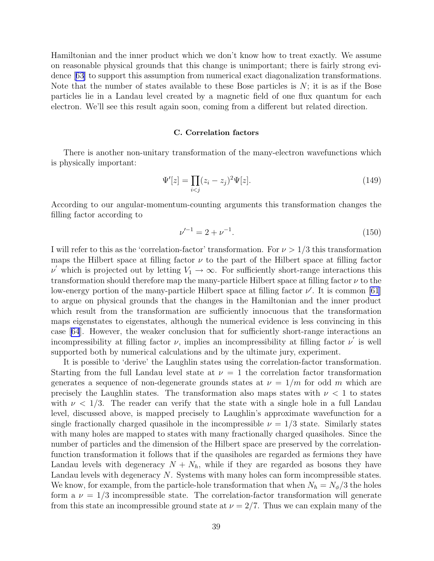Hamiltonian and the inner product which we don't know how to treat exactly. We assume on reasonable physical grounds that this change is unimportant; there is fairly strong evidence[[63\]](#page-46-0) to support this assumption from numerical exact diagonalization transformations. Note that the number of states available to these Bose particles is  $N$ ; it is as if the Bose particles lie in a Landau level created by a magnetic field of one flux quantum for each electron. We'll see this result again soon, coming from a different but related direction.

## C. Correlation factors

There is another non-unitary transformation of the many-electron wavefunctions which is physically important:

$$
\Psi'[z] = \prod_{i < j} (z_i - z_j)^2 \Psi[z].\tag{149}
$$

According to our angular-momentum-counting arguments this transformation changes the filling factor according to

$$
\nu'^{-1} = 2 + \nu^{-1}.\tag{150}
$$

I will refer to this as the 'correlation-factor' transformation. For  $\nu > 1/3$  this transformation maps the Hilbert space at filling factor  $\nu$  to the part of the Hilbert space at filling factor  $\nu'$  which is projected out by letting  $V_1 \to \infty$ . For sufficiently short-range interactions this transformation should therefore map the many-particle Hilbert space at filling factor  $\nu$  to the low-energy portion of the many-particle Hilbert space at filling factor  $\nu'$ . It is common [\[61](#page-46-0)] to argue on physical grounds that the changes in the Hamiltonian and the inner product which result from the transformation are sufficiently innocuous that the transformation maps eigenstates to eigenstates, although the numerical evidence is less convincing in this case[[64](#page-46-0)]. However, the weaker conclusion that for sufficiently short-range interactions an incompressibility at filling factor  $\nu$ , implies an incompressibility at filling factor  $\nu'$  is well supported both by numerical calculations and by the ultimate jury, experiment.

It is possible to 'derive' the Laughlin states using the correlation-factor transformation. Starting from the full Landau level state at  $\nu = 1$  the correlation factor transformation generates a sequence of non-degenerate grounds states at  $\nu = 1/m$  for odd m which are precisely the Laughlin states. The transformation also maps states with  $\nu < 1$  to states with  $\nu < 1/3$ . The reader can verify that the state with a single hole in a full Landau level, discussed above, is mapped precisely to Laughlin's approximate wavefunction for a single fractionally charged quasihole in the incompressible  $\nu = 1/3$  state. Similarly states with many holes are mapped to states with many fractionally charged quasiholes. Since the number of particles and the dimension of the Hilbert space are preserved by the correlationfunction transformation it follows that if the quasiholes are regarded as fermions they have Landau levels with degeneracy  $N + N_h$ , while if they are regarded as bosons they have Landau levels with degeneracy N. Systems with many holes can form incompressible states. We know, for example, from the particle-hole transformation that when  $N_h = N_\phi/3$  the holes form a  $\nu = 1/3$  incompressible state. The correlation-factor transformation will generate from this state an incompressible ground state at  $\nu = 2/7$ . Thus we can explain many of the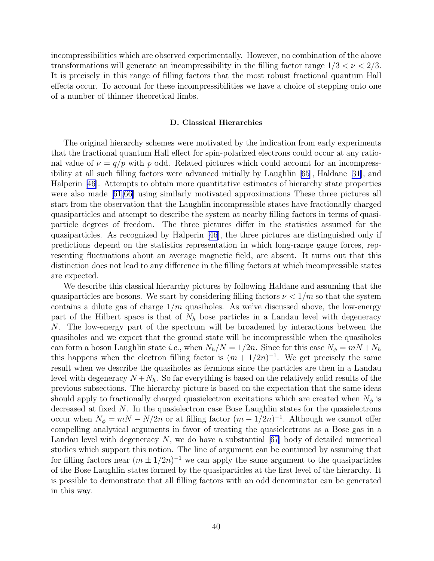incompressibilities which are observed experimentally. However, no combination of the above transformations will generate an incompressibility in the filling factor range  $1/3 < \nu < 2/3$ . It is precisely in this range of filling factors that the most robust fractional quantum Hall effects occur. To account for these incompressibilities we have a choice of stepping onto one of a number of thinner theoretical limbs.

#### D. Classical Hierarchies

The original hierarchy schemes were motivated by the indication from early experiments that the fractional quantum Hall effect for spin-polarized electrons could occur at any rational value of  $\nu = q/p$  with p odd. Related pictures which could account for an incompressibility at all such filling factors were advanced initially by Laughlin [\[65](#page-46-0)], Haldane [\[31\]](#page-45-0), and Halperin [\[46\]](#page-46-0). Attempts to obtain more quantitative estimates of hierarchy state properties were also made[[61,66\]](#page-46-0) using similarly motivated approximations These three pictures all start from the observation that the Laughlin incompressible states have fractionally charged quasiparticles and attempt to describe the system at nearby filling factors in terms of quasiparticle degrees of freedom. The three pictures differ in the statistics assumed for the quasiparticles. As recognized by Halperin [\[46](#page-46-0)], the three pictures are distinguished only if predictions depend on the statistics representation in which long-range gauge forces, representing fluctuations about an average magnetic field, are absent. It turns out that this distinction does not lead to any difference in the filling factors at which incompressible states are expected.

We describe this classical hierarchy pictures by following Haldane and assuming that the quasiparticles are bosons. We start by considering filling factors  $\nu < 1/m$  so that the system contains a dilute gas of charge  $1/m$  quasiholes. As we've discussed above, the low-energy part of the Hilbert space is that of  $N_h$  bose particles in a Landau level with degeneracy N. The low-energy part of the spectrum will be broadened by interactions between the quasiholes and we expect that the ground state will be incompressible when the quasiholes can form a boson Laughlin state *i.e.*, when  $N_h/N = 1/2n$ . Since for this case  $N_\phi = mN + N_h$ this happens when the electron filling factor is  $(m + 1/2n)^{-1}$ . We get precisely the same result when we describe the quasiholes as fermions since the particles are then in a Landau level with degeneracy  $N + N_h$ . So far everything is based on the relatively solid results of the previous subsections. The hierarchy picture is based on the expectation that the same ideas should apply to fractionally charged quasielectron excitations which are created when  $N_{\phi}$  is decreased at fixed N. In the quasielectron case Bose Laughlin states for the quasielectrons occur when  $N_{\phi} = mN - N/2n$  or at filling factor  $(m - 1/2n)^{-1}$ . Although we cannot offer compelling analytical arguments in favor of treating the quasielectrons as a Bose gas in a Landau level with degeneracy  $N$ , we do have a substantial [\[67](#page-46-0)] body of detailed numerical studies which support this notion. The line of argument can be continued by assuming that for filling factors near  $(m \pm 1/2n)^{-1}$  we can apply the same argument to the quasiparticles of the Bose Laughlin states formed by the quasiparticles at the first level of the hierarchy. It is possible to demonstrate that all filling factors with an odd denominator can be generated in this way.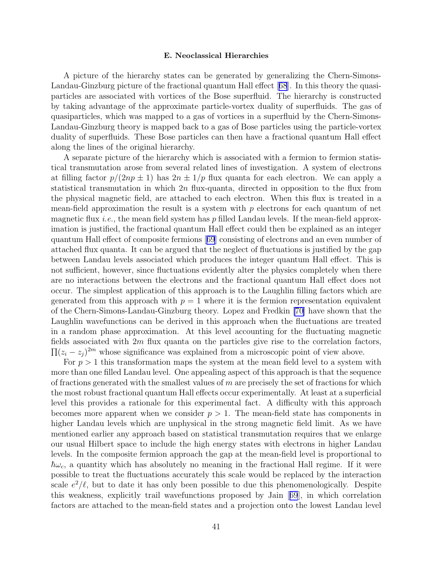#### E. Neoclassical Hierarchies

A picture of the hierarchy states can be generated by generalizing the Chern-Simons-Landau-Ginzburg picture of the fractional quantum Hall effect[[68](#page-46-0)]. In this theory the quasiparticles are associated with vortices of the Bose superfluid. The hierarchy is constructed by taking advantage of the approximate particle-vortex duality of superfluids. The gas of quasiparticles, which was mapped to a gas of vortices in a superfluid by the Chern-Simons-Landau-Ginzburg theory is mapped back to a gas of Bose particles using the particle-vortex duality of superfluids. These Bose particles can then have a fractional quantum Hall effect along the lines of the original hierarchy.

A separate picture of the hierarchy which is associated with a fermion to fermion statistical transmutation arose from several related lines of investigation. A system of electrons at filling factor  $p/(2np \pm 1)$  has  $2n \pm 1/p$  flux quanta for each electron. We can apply a statistical transmutation in which  $2n$  flux-quanta, directed in opposition to the flux from the physical magnetic field, are attached to each electron. When this flux is treated in a mean-field approximation the result is a system with  $p$  electrons for each quantum of net magnetic flux *i.e.*, the mean field system has p filled Landau levels. If the mean-field approximation is justified, the fractional quantum Hall effect could then be explained as an integer quantum Hall effect of composite fermions[[69](#page-46-0)] consisting of electrons and an even number of attached flux quanta. It can be argued that the neglect of fluctuations is justified by the gap between Landau levels associated which produces the integer quantum Hall effect. This is not sufficient, however, since fluctuations evidently alter the physics completely when there are no interactions between the electrons and the fractional quantum Hall effect does not occur. The simplest application of this approach is to the Laughlin filling factors which are generated from this approach with  $p = 1$  where it is the fermion representation equivalent of the Chern-Simons-Landau-Ginzburg theory. Lopez and Fredkin [\[70](#page-46-0)] have shown that the Laughlin wavefunctions can be derived in this approach when the fluctuations are treated in a random phase approximation. At this level accounting for the fluctuating magnetic fields associated with  $2m$  flux quanta on the particles give rise to the correlation factors,  $\prod (z_i - z_j)^{2m}$  whose significance was explained from a microscopic point of view above.

For  $p > 1$  this transformation maps the system at the mean field level to a system with more than one filled Landau level. One appealing aspect of this approach is that the sequence of fractions generated with the smallest values of  $m$  are precisely the set of fractions for which the most robust fractional quantum Hall effects occur experimentally. At least at a superficial level this provides a rationale for this experimental fact. A difficulty with this approach becomes more apparent when we consider  $p > 1$ . The mean-field state has components in higher Landau levels which are unphysical in the strong magnetic field limit. As we have mentioned earlier any approach based on statistical transmutation requires that we enlarge our usual Hilbert space to include the high energy states with electrons in higher Landau levels. In the composite fermion approach the gap at the mean-field level is proportional to  $\hbar\omega_c$ , a quantity which has absolutely no meaning in the fractional Hall regime. If it were possible to treat the fluctuations accurately this scale would be replaced by the interaction scale  $e^2/\ell$ , but to date it has only been possible to due this phenomenologically. Despite this weakness, explicitly trail wavefunctions proposed by Jain[[69](#page-46-0)], in which correlation factors are attached to the mean-field states and a projection onto the lowest Landau level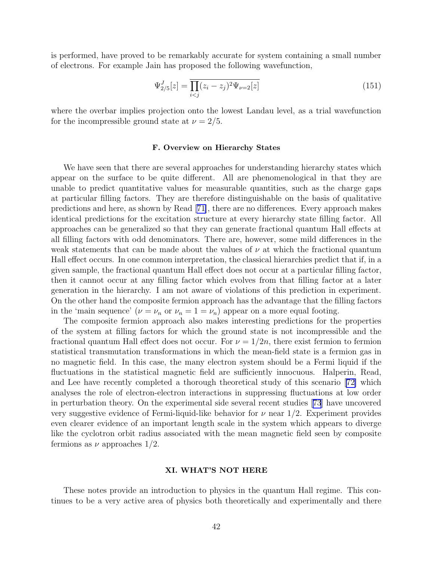is performed, have proved to be remarkably accurate for system containing a small number of electrons. For example Jain has proposed the following wavefunction,

$$
\Psi_{2/5}^{J}[z] = \overline{\prod_{i < j} (z_i - z_j)^2 \Psi_{\nu=2}[z]} \tag{151}
$$

where the overbar implies projection onto the lowest Landau level, as a trial wavefunction for the incompressible ground state at  $\nu = 2/5$ .

## F. Overview on Hierarchy States

We have seen that there are several approaches for understanding hierarchy states which appear on the surface to be quite different. All are phenomenological in that they are unable to predict quantitative values for measurable quantities, such as the charge gaps at particular filling factors. They are therefore distinguishable on the basis of qualitative predictions and here, as shown by Read[[71\]](#page-46-0), there are no differences. Every approach makes identical predictions for the excitation structure at every hierarchy state filling factor. All approaches can be generalized so that they can generate fractional quantum Hall effects at all filling factors with odd denominators. There are, however, some mild differences in the weak statements that can be made about the values of  $\nu$  at which the fractional quantum Hall effect occurs. In one common interpretation, the classical hierarchies predict that if, in a given sample, the fractional quantum Hall effect does not occur at a particular filling factor, then it cannot occur at any filling factor which evolves from that filling factor at a later generation in the hierarchy. I am not aware of violations of this prediction in experiment. On the other hand the composite fermion approach has the advantage that the filling factors in the 'main sequence' ( $\nu = \nu_n$  or  $\nu_n = 1 = \nu_n$ ) appear on a more equal footing.

The composite fermion approach also makes interesting predictions for the properties of the system at filling factors for which the ground state is not incompressible and the fractional quantum Hall effect does not occur. For  $\nu = 1/2n$ , there exist fermion to fermion statistical transmutation transformations in which the mean-field state is a fermion gas in no magnetic field. In this case, the many electron system should be a Fermi liquid if the fluctuations in the statistical magnetic field are sufficiently innocuous. Halperin, Read, and Lee have recently completed a thorough theoretical study of this scenario[[72\]](#page-46-0) which analyses the role of electron-electron interactions in suppressing fluctuations at low order in perturbation theory. On the experimental side several recent studies[[73](#page-46-0)] have uncovered very suggestive evidence of Fermi-liquid-like behavior for  $\nu$  near  $1/2$ . Experiment provides even clearer evidence of an important length scale in the system which appears to diverge like the cyclotron orbit radius associated with the mean magnetic field seen by composite fermions as  $\nu$  approaches 1/2.

#### XI. WHAT'S NOT HERE

These notes provide an introduction to physics in the quantum Hall regime. This continues to be a very active area of physics both theoretically and experimentally and there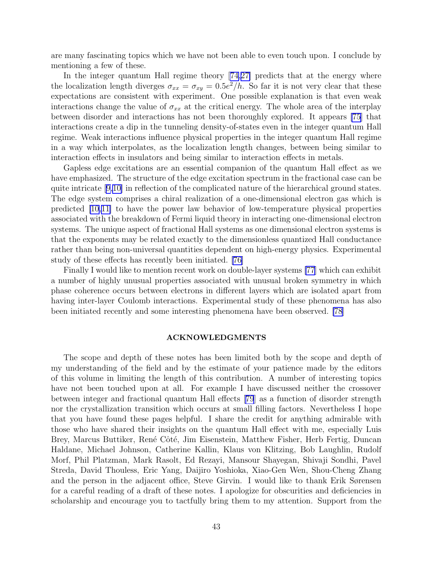are many fascinating topics which we have not been able to even touch upon. I conclude by mentioning a few of these.

In the integer quantum Hall regime theory[[74,](#page-47-0)[27\]](#page-45-0) predicts that at the energy where the localization length diverges  $\sigma_{xx} = \sigma_{xy} = 0.5e^2/h$ . So far it is not very clear that these expectations are consistent with experiment. One possible explanation is that even weak interactions change the value of  $\sigma_{xx}$  at the critical energy. The whole area of the interplay between disorder and interactions has not been thoroughly explored. It appears [\[75](#page-47-0)] that interactions create a dip in the tunneling density-of-states even in the integer quantum Hall regime. Weak interactions influence physical properties in the integer quantum Hall regime in a way which interpolates, as the localization length changes, between being similar to interaction effects in insulators and being similar to interaction effects in metals.

Gapless edge excitations are an essential companion of the quantum Hall effect as we have emphasized. The structure of the edge excitation spectrum in the fractional case can be quite intricate[[9,10\]](#page-44-0) in reflection of the complicated nature of the hierarchical ground states. The edge system comprises a chiral realization of a one-dimensional electron gas which is predicted [\[10,11\]](#page-44-0) to have the power law behavior of low-temperature physical properties associated with the breakdown of Fermi liquid theory in interacting one-dimensional electron systems. The unique aspect of fractional Hall systems as one dimensional electron systems is that the exponents may be related exactly to the dimensionless quantized Hall conductance rather than being non-universal quantities dependent on high-energy physics. Experimental study of these effects has recently been initiated. [\[76\]](#page-47-0)

Finally I would like to mention recent work on double-layer systems [\[77](#page-47-0)] which can exhibit a number of highly unusual properties associated with unusual broken symmetry in which phase coherence occurs between electrons in different layers which are isolated apart from having inter-layer Coulomb interactions. Experimental study of these phenomena has also been initiated recently and some interesting phenomena have been observed. [\[78](#page-47-0)]

## ACKNOWLEDGMENTS

The scope and depth of these notes has been limited both by the scope and depth of my understanding of the field and by the estimate of your patience made by the editors of this volume in limiting the length of this contribution. A number of interesting topics have not been touched upon at all. For example I have discussed neither the crossover between integer and fractional quantum Hall effects[[79](#page-47-0)] as a function of disorder strength nor the crystallization transition which occurs at small filling factors. Nevertheless I hope that you have found these pages helpful. I share the credit for anything admirable with those who have shared their insights on the quantum Hall effect with me, especially Luis Brey, Marcus Buttiker, René Côté, Jim Eisenstein, Matthew Fisher, Herb Fertig, Duncan Haldane, Michael Johnson, Catherine Kallin, Klaus von Klitzing, Bob Laughlin, Rudolf Morf, Phil Platzman, Mark Rasolt, Ed Rezayi, Mansour Shayegan, Shivaji Sondhi, Pavel Streda, David Thouless, Eric Yang, Daijiro Yoshioka, Xiao-Gen Wen, Shou-Cheng Zhang and the person in the adjacent office, Steve Girvin. I would like to thank Erik Sørensen for a careful reading of a draft of these notes. I apologize for obscurities and deficiencies in scholarship and encourage you to tactfully bring them to my attention. Support from the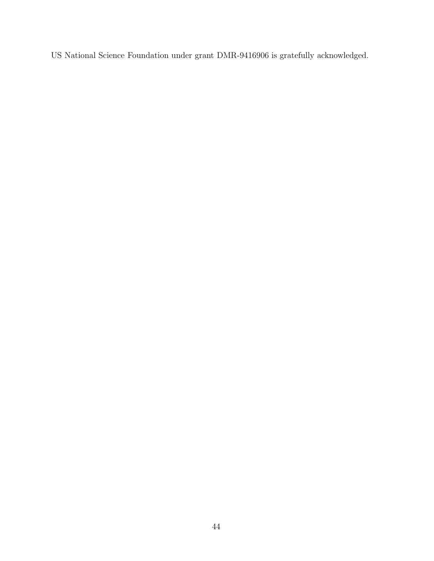US National Science Foundation under grant DMR-9416906 is gratefully acknowledged.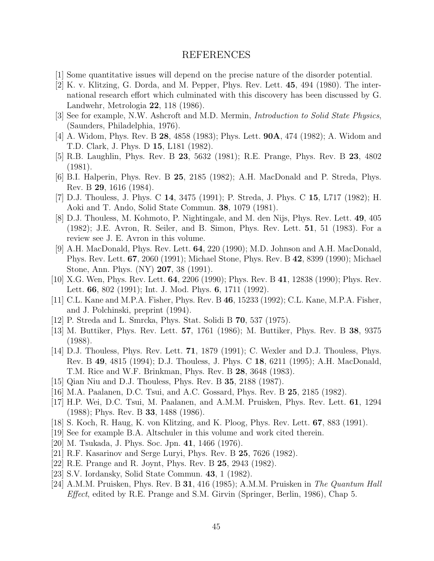## REFERENCES

- <span id="page-44-0"></span>[1] Some quantitative issues will depend on the precise nature of the disorder potential.
- [2] K. v. Klitzing, G. Dorda, and M. Pepper, Phys. Rev. Lett. 45, 494 (1980). The international research effort which culminated with this discovery has been discussed by G. Landwehr, Metrologia 22, 118 (1986).
- [3] See for example, N.W. Ashcroft and M.D. Mermin, Introduction to Solid State Physics, (Saunders, Philadelphia, 1976).
- [4] A. Widom, Phys. Rev. B 28, 4858 (1983); Phys. Lett. 90A, 474 (1982); A. Widom and T.D. Clark, J. Phys. D 15, L181 (1982).
- [5] R.B. Laughlin, Phys. Rev. B 23, 5632 (1981); R.E. Prange, Phys. Rev. B 23, 4802 (1981).
- [6] B.I. Halperin, Phys. Rev. B 25, 2185 (1982); A.H. MacDonald and P. Streda, Phys. Rev. B 29, 1616 (1984).
- [7] D.J. Thouless, J. Phys. C 14, 3475 (1991); P. Streda, J. Phys. C 15, L717 (1982); H. Aoki and T. Ando, Solid State Commun. 38, 1079 (1981).
- [8] D.J. Thouless, M. Kohmoto, P. Nightingale, and M. den Nijs, Phys. Rev. Lett. 49, 405 (1982); J.E. Avron, R. Seiler, and B. Simon, Phys. Rev. Lett. 51, 51 (1983). For a review see J. E. Avron in this volume.
- [9] A.H. MacDonald, Phys. Rev. Lett. 64, 220 (1990); M.D. Johnson and A.H. MacDonald, Phys. Rev. Lett. 67, 2060 (1991); Michael Stone, Phys. Rev. B 42, 8399 (1990); Michael Stone, Ann. Phys. (NY) 207, 38 (1991).
- [10] X.G. Wen, Phys. Rev. Lett. 64, 2206 (1990); Phys. Rev. B 41, 12838 (1990); Phys. Rev. Lett. **66**, 802 (1991); Int. J. Mod. Phys. **6**, 1711 (1992).
- [11] C.L. Kane and M.P.A. Fisher, Phys. Rev. B 46, 15233 (1992); C.L. Kane, M.P.A. Fisher, and J. Polchinski, preprint (1994).
- [12] P. Streda and L. Smrcka, Phys. Stat. Solidi B 70, 537 (1975).
- [13] M. Buttiker, Phys. Rev. Lett. 57, 1761 (1986); M. Buttiker, Phys. Rev. B 38, 9375 (1988).
- [14] D.J. Thouless, Phys. Rev. Lett. 71, 1879 (1991); C. Wexler and D.J. Thouless, Phys. Rev. B 49, 4815 (1994); D.J. Thouless, J. Phys. C 18, 6211 (1995); A.H. MacDonald, T.M. Rice and W.F. Brinkman, Phys. Rev. B 28, 3648 (1983).
- [15] Qian Niu and D.J. Thouless, Phys. Rev. B 35, 2188 (1987).
- [16] M.A. Paalanen, D.C. Tsui, and A.C. Gossard, Phys. Rev. B 25, 2185 (1982).
- [17] H.P. Wei, D.C. Tsui, M. Paalanen, and A.M.M. Pruisken, Phys. Rev. Lett. 61, 1294 (1988); Phys. Rev. B 33, 1488 (1986).
- [18] S. Koch, R. Haug, K. von Klitzing, and K. Ploog, Phys. Rev. Lett. 67, 883 (1991).
- [19] See for example B.A. Altschuler in this volume and work cited therein.
- [20] M. Tsukada, J. Phys. Soc. Jpn. 41, 1466 (1976).
- [21] R.F. Kasarinov and Serge Luryi, Phys. Rev. B 25, 7626 (1982).
- [22] R.E. Prange and R. Joynt, Phys. Rev. B 25, 2943 (1982).
- [23] S.V. Iordansky, Solid State Commun. 43, 1 (1982).
- [24] A.M.M. Pruisken, Phys. Rev. B 31, 416 (1985); A.M.M. Pruisken in The Quantum Hall Effect, edited by R.E. Prange and S.M. Girvin (Springer, Berlin, 1986), Chap 5.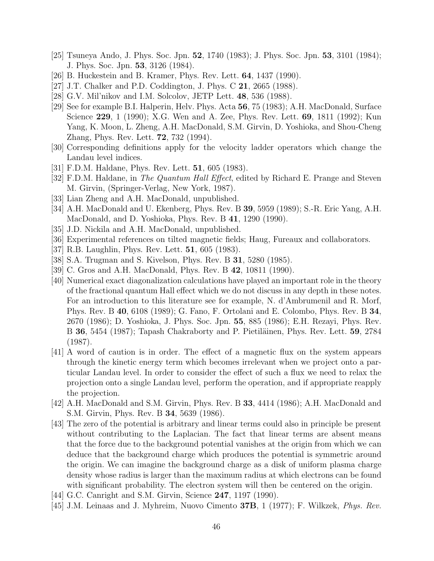- <span id="page-45-0"></span>[25] Tsuneya Ando, J. Phys. Soc. Jpn. 52, 1740 (1983); J. Phys. Soc. Jpn. 53, 3101 (1984); J. Phys. Soc. Jpn. 53, 3126 (1984).
- [26] B. Huckestein and B. Kramer, Phys. Rev. Lett. 64, 1437 (1990).
- [27] J.T. Chalker and P.D. Coddington, J. Phys. C 21, 2665 (1988).
- [28] G.V. Mil'nikov and I.M. Solcolov, JETP Lett. 48, 536 (1988).
- [29] See for example B.I. Halperin, Helv. Phys. Acta 56, 75 (1983); A.H. MacDonald, Surface Science 229, 1 (1990); X.G. Wen and A. Zee, Phys. Rev. Lett. 69, 1811 (1992); Kun Yang, K. Moon, L. Zheng, A.H. MacDonald, S.M. Girvin, D. Yoshioka, and Shou-Cheng Zhang, Phys. Rev. Lett. 72, 732 (1994).
- [30] Corresponding definitions apply for the velocity ladder operators which change the Landau level indices.
- [31] F.D.M. Haldane, Phys. Rev. Lett. 51, 605 (1983).
- [32] F.D.M. Haldane, in *The Quantum Hall Effect*, edited by Richard E. Prange and Steven M. Girvin, (Springer-Verlag, New York, 1987).
- [33] Lian Zheng and A.H. MacDonald, unpublished.
- [34] A.H. MacDonald and U. Ekenberg, Phys. Rev. B 39, 5959 (1989); S.-R. Eric Yang, A.H. MacDonald, and D. Yoshioka, Phys. Rev. B 41, 1290 (1990).
- [35] J.D. Nickila and A.H. MacDonald, unpublished.
- [36] Experimental references on tilted magnetic fields; Haug, Fureaux and collaborators.
- [37] R.B. Laughlin, Phys. Rev. Lett. 51, 605 (1983).
- [38] S.A. Trugman and S. Kivelson, Phys. Rev. B 31, 5280 (1985).
- [39] C. Gros and A.H. MacDonald, Phys. Rev. B 42, 10811 (1990).
- [40] Numerical exact diagonalization calculations have played an important role in the theory of the fractional quantum Hall effect which we do not discuss in any depth in these notes. For an introduction to this literature see for example, N. d'Ambrumenil and R. Morf, Phys. Rev. B 40, 6108 (1989); G. Fano, F. Ortolani and E. Colombo, Phys. Rev. B 34, 2670 (1986); D. Yoshioka, J. Phys. Soc. Jpn. 55, 885 (1986); E.H. Rezayi, Phys. Rev. B 36, 5454 (1987); Tapash Chakraborty and P. Pietiläinen, Phys. Rev. Lett. 59, 2784 (1987).
- [41] A word of caution is in order. The effect of a magnetic flux on the system appears through the kinetic energy term which becomes irrelevant when we project onto a particular Landau level. In order to consider the effect of such a flux we need to relax the projection onto a single Landau level, perform the operation, and if appropriate reapply the projection.
- [42] A.H. MacDonald and S.M. Girvin, Phys. Rev. B 33, 4414 (1986); A.H. MacDonald and S.M. Girvin, Phys. Rev. B 34, 5639 (1986).
- [43] The zero of the potential is arbitrary and linear terms could also in principle be present without contributing to the Laplacian. The fact that linear terms are absent means that the force due to the background potential vanishes at the origin from which we can deduce that the background charge which produces the potential is symmetric around the origin. We can imagine the background charge as a disk of uniform plasma charge density whose radius is larger than the maximum radius at which electrons can be found with significant probability. The electron system will then be centered on the origin.
- [44] G.C. Canright and S.M. Girvin, Science 247, 1197 (1990).
- [45] J.M. Leinaas and J. Myhreim, Nuovo Cimento 37B, 1 (1977); F. Wilkzek, Phys. Rev.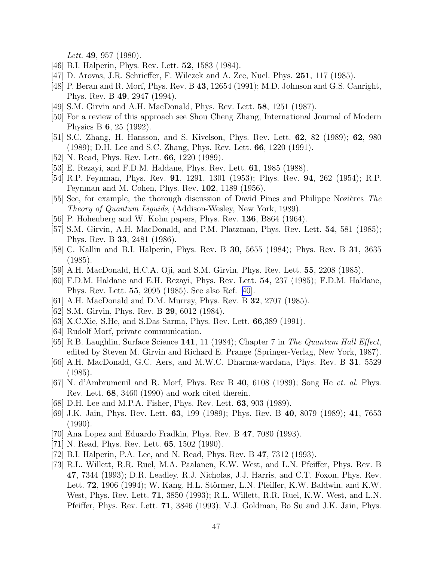*Lett.* 49, 957 (1980).

- <span id="page-46-0"></span>[46] B.I. Halperin, Phys. Rev. Lett. **52**, 1583 (1984).
- [47] D. Arovas, J.R. Schrieffer, F. Wilczek and A. Zee, Nucl. Phys. 251, 117 (1985).
- [48] P. Beran and R. Morf, Phys. Rev. B 43, 12654 (1991); M.D. Johnson and G.S. Canright, Phys. Rev. B 49, 2947 (1994).
- [49] S.M. Girvin and A.H. MacDonald, Phys. Rev. Lett. 58, 1251 (1987).
- [50] For a review of this approach see Shou Cheng Zhang, International Journal of Modern Physics B 6, 25 (1992).
- [51] S.C. Zhang, H. Hansson, and S. Kivelson, Phys. Rev. Lett. 62, 82 (1989); 62, 980 (1989); D.H. Lee and S.C. Zhang, Phys. Rev. Lett. 66, 1220 (1991).
- [52] N. Read, Phys. Rev. Lett. **66**, 1220 (1989).
- [53] E. Rezayi, and F.D.M. Haldane, Phys. Rev. Lett. 61, 1985 (1988).
- [54] R.P. Feynman, Phys. Rev. 91, 1291, 1301 (1953); Phys. Rev. 94, 262 (1954); R.P. Feynman and M. Cohen, Phys. Rev. 102, 1189 (1956).
- [55] See, for example, the thorough discussion of David Pines and Philippe Nozières The Theory of Quantum Liguids, (Addison-Wesley, New York, 1989).
- [56] P. Hohenberg and W. Kohn papers, Phys. Rev. **136**, B864 (1964).
- [57] S.M. Girvin, A.H. MacDonald, and P.M. Platzman, Phys. Rev. Lett. 54, 581 (1985); Phys. Rev. B 33, 2481 (1986).
- [58] C. Kallin and B.I. Halperin, Phys. Rev. B 30, 5655 (1984); Phys. Rev. B 31, 3635 (1985).
- [59] A.H. MacDonald, H.C.A. Oji, and S.M. Girvin, Phys. Rev. Lett. 55, 2208 (1985).
- [60] F.D.M. Haldane and E.H. Rezayi, Phys. Rev. Lett. 54, 237 (1985); F.D.M. Haldane, Phys. Rev. Lett. 55, 2095 (1985). See also Ref.[[40\]](#page-45-0).
- [61] A.H. MacDonald and D.M. Murray, Phys. Rev. B **32**, 2707 (1985).
- [62] S.M. Girvin, Phys. Rev. B **29**, 6012 (1984).
- [63] X.C.Xie, S.He, and S.Das Sarma, Phys. Rev. Lett. 66,389 (1991).
- [64] Rudolf Morf, private communication.
- [65] R.B. Laughlin, Surface Science 141, 11 (1984); Chapter 7 in The Quantum Hall Effect, edited by Steven M. Girvin and Richard E. Prange (Springer-Verlag, New York, 1987).
- [66] A.H. MacDonald, G.C. Aers, and M.W.C. Dharma-wardana, Phys. Rev. B 31, 5529 (1985).
- [67] N. d'Ambrumenil and R. Morf, Phys. Rev B 40, 6108 (1989); Song He et. al. Phys. Rev. Lett. 68, 3460 (1990) and work cited therein.
- [68] D.H. Lee and M.P.A. Fisher, Phys. Rev. Lett. 63, 903 (1989).
- [69] J.K. Jain, Phys. Rev. Lett. 63, 199 (1989); Phys. Rev. B 40, 8079 (1989); 41, 7653 (1990).
- [70] Ana Lopez and Eduardo Fradkin, Phys. Rev. B 47, 7080 (1993).
- [71] N. Read, Phys. Rev. Lett. **65**, 1502 (1990).
- [72] B.I. Halperin, P.A. Lee, and N. Read, Phys. Rev. B 47, 7312 (1993).
- [73] R.L. Willett, R.R. Ruel, M.A. Paalanen, K.W. West, and L.N. Pfeiffer, Phys. Rev. B 47, 7344 (1993); D.R. Leadley, R.J. Nicholas, J.J. Harris, and C.T. Foxon, Phys. Rev. Lett.  $72$ , 1906 (1994); W. Kang, H.L. Störmer, L.N. Pfeiffer, K.W. Baldwin, and K.W. West, Phys. Rev. Lett. 71, 3850 (1993); R.L. Willett, R.R. Ruel, K.W. West, and L.N. Pfeiffer, Phys. Rev. Lett. 71, 3846 (1993); V.J. Goldman, Bo Su and J.K. Jain, Phys.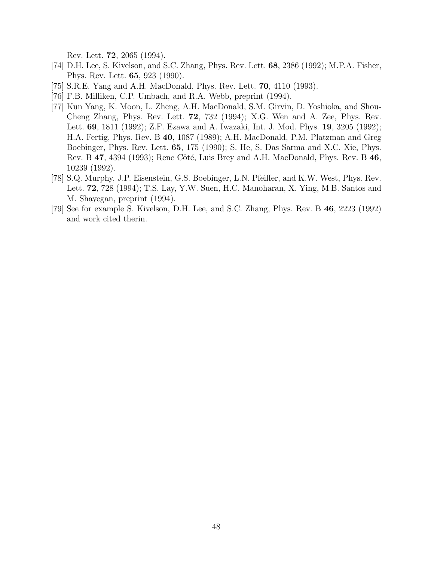Rev. Lett. 72, 2065 (1994).

- <span id="page-47-0"></span>[74] D.H. Lee, S. Kivelson, and S.C. Zhang, Phys. Rev. Lett. 68, 2386 (1992); M.P.A. Fisher, Phys. Rev. Lett. 65, 923 (1990).
- [75] S.R.E. Yang and A.H. MacDonald, Phys. Rev. Lett. 70, 4110 (1993).
- [76] F.B. Milliken, C.P. Umbach, and R.A. Webb, preprint (1994).
- [77] Kun Yang, K. Moon, L. Zheng, A.H. MacDonald, S.M. Girvin, D. Yoshioka, and Shou-Cheng Zhang, Phys. Rev. Lett. 72, 732 (1994); X.G. Wen and A. Zee, Phys. Rev. Lett. 69, 1811 (1992); Z.F. Ezawa and A. Iwazaki, Int. J. Mod. Phys. 19, 3205 (1992); H.A. Fertig, Phys. Rev. B 40, 1087 (1989); A.H. MacDonald, P.M. Platzman and Greg Boebinger, Phys. Rev. Lett. 65, 175 (1990); S. He, S. Das Sarma and X.C. Xie, Phys. Rev. B  $47$ ,  $4394$  (1993); Rene Côté, Luis Brey and A.H. MacDonald, Phys. Rev. B  $46$ , 10239 (1992).
- [78] S.Q. Murphy, J.P. Eisenstein, G.S. Boebinger, L.N. Pfeiffer, and K.W. West, Phys. Rev. Lett. 72, 728 (1994); T.S. Lay, Y.W. Suen, H.C. Manoharan, X. Ying, M.B. Santos and M. Shayegan, preprint (1994).
- [79] See for example S. Kivelson, D.H. Lee, and S.C. Zhang, Phys. Rev. B 46, 2223 (1992) and work cited therin.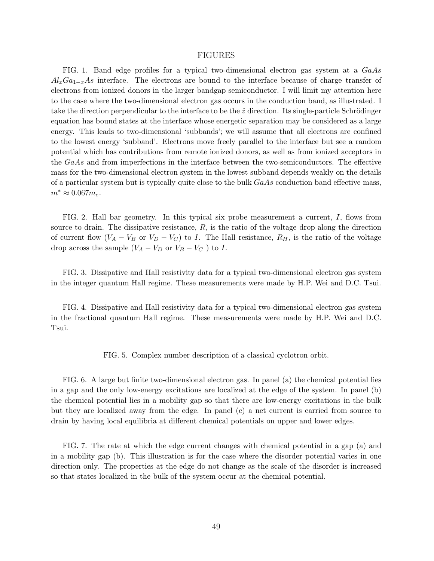## FIGURES

<span id="page-48-0"></span>FIG. 1. Band edge profiles for a typical two-dimensional electron gas system at a  $GaAs$  $A l_xGa_{1-x}As$  interface. The electrons are bound to the interface because of charge transfer of electrons from ionized donors in the larger bandgap semiconductor. I will limit my attention here to the case where the two-dimensional electron gas occurs in the conduction band, as illustrated. I take the direction perpendicular to the interface to be the  $\hat{z}$  direction. Its single-particle Schrödinger equation has bound states at the interface whose energetic separation may be considered as a large energy. This leads to two-dimensional 'subbands'; we will assume that all electrons are confined to the lowest energy 'subband'. Electrons move freely parallel to the interface but see a random potential which has contributions from remote ionized donors, as well as from ionized acceptors in the  $GaAs$  and from imperfections in the interface between the two-semiconductors. The effective mass for the two-dimensional electron system in the lowest subband depends weakly on the details of a particular system but is typically quite close to the bulk  $GaAs$  conduction band effective mass,  $m^* \approx 0.067 m_e$ .

FIG. 2. Hall bar geometry. In this typical six probe measurement a current, I, flows from source to drain. The dissipative resistance,  $R$ , is the ratio of the voltage drop along the direction of current flow  $(V_A - V_B$  or  $V_D - V_C)$  to I. The Hall resistance,  $R_H$ , is the ratio of the voltage drop across the sample  $(V_A - V_D)$  or  $V_B - V_C$  to I.

FIG. 3. Dissipative and Hall resistivity data for a typical two-dimensional electron gas system in the integer quantum Hall regime. These measurements were made by H.P. Wei and D.C. Tsui.

FIG. 4. Dissipative and Hall resistivity data for a typical two-dimensional electron gas system in the fractional quantum Hall regime. These measurements were made by H.P. Wei and D.C. Tsui.

FIG. 5. Complex number description of a classical cyclotron orbit.

FIG. 6. A large but finite two-dimensional electron gas. In panel (a) the chemical potential lies in a gap and the only low-energy excitations are localized at the edge of the system. In panel (b) the chemical potential lies in a mobility gap so that there are low-energy excitations in the bulk but they are localized away from the edge. In panel (c) a net current is carried from source to drain by having local equilibria at different chemical potentials on upper and lower edges.

FIG. 7. The rate at which the edge current changes with chemical potential in a gap (a) and in a mobility gap (b). This illustration is for the case where the disorder potential varies in one direction only. The properties at the edge do not change as the scale of the disorder is increased so that states localized in the bulk of the system occur at the chemical potential.